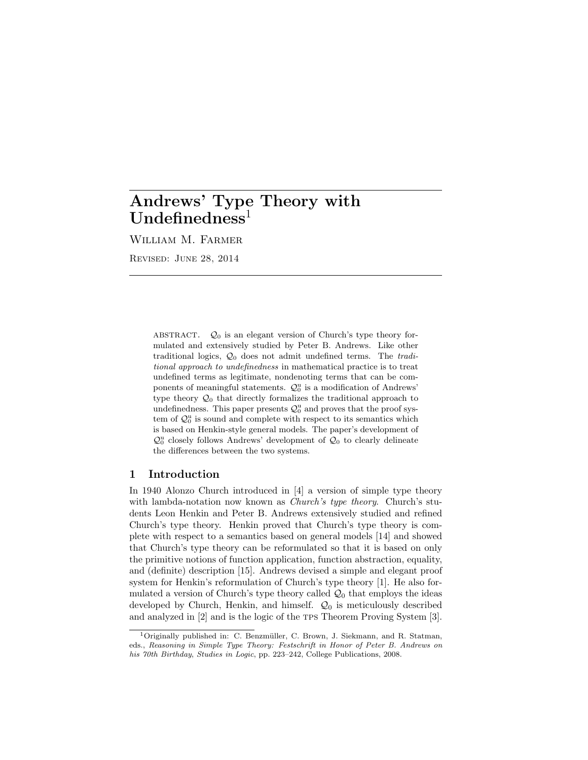# Andrews' Type Theory with  $Undefinedness<sup>1</sup>$

William M. Farmer

Revised: June 28, 2014

ABSTRACT.  $Q_0$  is an elegant version of Church's type theory formulated and extensively studied by Peter B. Andrews. Like other traditional logics,  $\mathcal{Q}_0$  does not admit undefined terms. The *tradi*tional approach to undefinedness in mathematical practice is to treat undefined terms as legitimate, nondenoting terms that can be components of meaningful statements.  $\mathcal{Q}_0^u$  is a modification of Andrews' type theory  $\mathcal{Q}_0$  that directly formalizes the traditional approach to undefinedness. This paper presents  $\mathcal{Q}_0^{\mathrm{u}}$  and proves that the proof system of  $\mathcal{Q}_0^u$  is sound and complete with respect to its semantics which is based on Henkin-style general models. The paper's development of  $\mathcal{Q}_0^{\mathsf{u}}$  closely follows Andrews' development of  $\mathcal{Q}_0$  to clearly delineate the differences between the two systems.

## 1 Introduction

In 1940 Alonzo Church introduced in [4] a version of simple type theory with lambda-notation now known as *Church's type theory*. Church's students Leon Henkin and Peter B. Andrews extensively studied and refined Church's type theory. Henkin proved that Church's type theory is complete with respect to a semantics based on general models [14] and showed that Church's type theory can be reformulated so that it is based on only the primitive notions of function application, function abstraction, equality, and (definite) description [15]. Andrews devised a simple and elegant proof system for Henkin's reformulation of Church's type theory [1]. He also formulated a version of Church's type theory called  $\mathcal{Q}_0$  that employs the ideas developed by Church, Henkin, and himself.  $\mathcal{Q}_0$  is meticulously described and analyzed in [2] and is the logic of the tps Theorem Proving System [3].

<sup>&</sup>lt;sup>1</sup>Originally published in: C. Benzmüller, C. Brown, J. Siekmann, and R. Statman, eds., Reasoning in Simple Type Theory: Festschrift in Honor of Peter B. Andrews on his 70th Birthday, Studies in Logic, pp. 223–242, College Publications, 2008.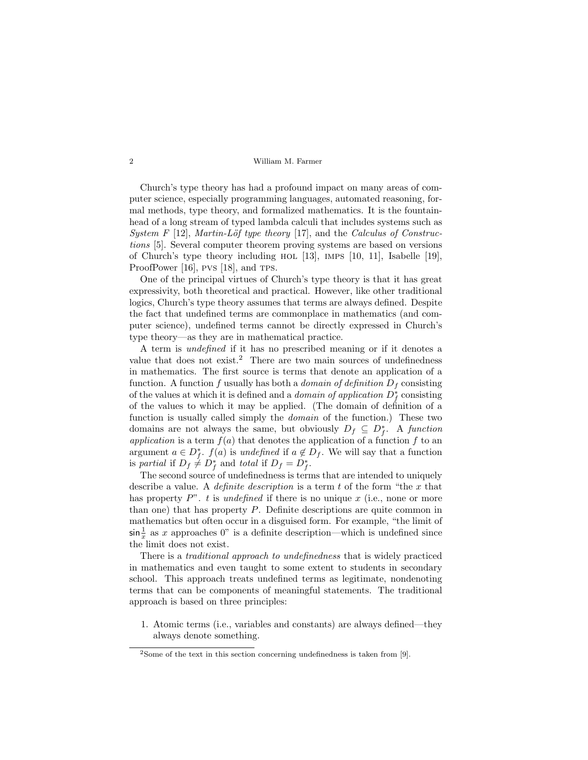Church's type theory has had a profound impact on many areas of computer science, especially programming languages, automated reasoning, formal methods, type theory, and formalized mathematics. It is the fountainhead of a long stream of typed lambda calculi that includes systems such as System F [12], Martin-Löf type theory [17], and the Calculus of Constructions [5]. Several computer theorem proving systems are based on versions of Church's type theory including hol [13], imps [10, 11], Isabelle [19], ProofPower [16], pvs [18], and rps.

One of the principal virtues of Church's type theory is that it has great expressivity, both theoretical and practical. However, like other traditional logics, Church's type theory assumes that terms are always defined. Despite the fact that undefined terms are commonplace in mathematics (and computer science), undefined terms cannot be directly expressed in Church's type theory—as they are in mathematical practice.

A term is undefined if it has no prescribed meaning or if it denotes a value that does not  $exist.^2$  There are two main sources of undefinedness in mathematics. The first source is terms that denote an application of a function. A function f usually has both a *domain of definition*  $D_f$  consisting of the values at which it is defined and a *domain of application*  $D_f^*$  consisting of the values to which it may be applied. (The domain of definition of a function is usually called simply the domain of the function.) These two domains are not always the same, but obviously  $D_f \subseteq D_f^*$ . A function application is a term  $f(a)$  that denotes the application of a function f to an argument  $a \in D_f^*$ .  $f(a)$  is undefined if  $a \notin D_f$ . We will say that a function is partial if  $D_f \neq D_f^*$  and total if  $D_f = D_f^*$ .

The second source of undefinedness is terms that are intended to uniquely describe a value. A *definite description* is a term t of the form "the x that has property  $P^{\prime\prime}$ . t is undefined if there is no unique x (i.e., none or more than one) that has property P. Definite descriptions are quite common in mathematics but often occur in a disguised form. For example, "the limit of  $\sin \frac{1}{x}$  as x approaches 0" is a definite description—which is undefined since the limit does not exist.

There is a traditional approach to undefinedness that is widely practiced in mathematics and even taught to some extent to students in secondary school. This approach treats undefined terms as legitimate, nondenoting terms that can be components of meaningful statements. The traditional approach is based on three principles:

1. Atomic terms (i.e., variables and constants) are always defined—they always denote something.

 $2$ Some of the text in this section concerning undefinedness is taken from [9].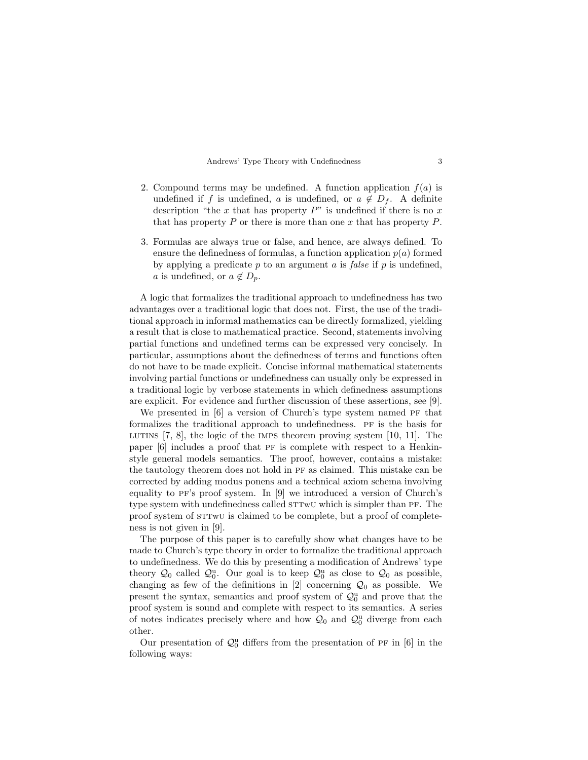- 2. Compound terms may be undefined. A function application  $f(a)$  is undefined if f is undefined, a is undefined, or  $a \notin D_f$ . A definite description "the  $x$  that has property  $P$ " is undefined if there is no  $x$ that has property  $P$  or there is more than one  $x$  that has property  $P$ .
- 3. Formulas are always true or false, and hence, are always defined. To ensure the definedness of formulas, a function application  $p(a)$  formed by applying a predicate  $p$  to an argument  $a$  is false if  $p$  is undefined, a is undefined, or  $a \notin D_p$ .

A logic that formalizes the traditional approach to undefinedness has two advantages over a traditional logic that does not. First, the use of the traditional approach in informal mathematics can be directly formalized, yielding a result that is close to mathematical practice. Second, statements involving partial functions and undefined terms can be expressed very concisely. In particular, assumptions about the definedness of terms and functions often do not have to be made explicit. Concise informal mathematical statements involving partial functions or undefinedness can usually only be expressed in a traditional logic by verbose statements in which definedness assumptions are explicit. For evidence and further discussion of these assertions, see [9].

We presented in  $[6]$  a version of Church's type system named PF that formalizes the traditional approach to undefinedness. pf is the basis for LUTINS  $[7, 8]$ , the logic of the IMPS theorem proving system  $[10, 11]$ . The paper  $[6]$  includes a proof that PF is complete with respect to a Henkinstyle general models semantics. The proof, however, contains a mistake: the tautology theorem does not hold in pf as claimed. This mistake can be corrected by adding modus ponens and a technical axiom schema involving equality to pf's proof system. In [9] we introduced a version of Church's type system with undefinedness called  $STTWU$  which is simpler than PF. The proof system of  $STTWU$  is claimed to be complete, but a proof of completeness is not given in [9].

The purpose of this paper is to carefully show what changes have to be made to Church's type theory in order to formalize the traditional approach to undefinedness. We do this by presenting a modification of Andrews' type theory  $\mathcal{Q}_0$  called  $\mathcal{Q}_0^{\mathrm{u}}$ . Our goal is to keep  $\mathcal{Q}_0^{\mathrm{u}}$  as close to  $\mathcal{Q}_0$  as possible, changing as few of the definitions in [2] concerning  $\mathcal{Q}_0$  as possible. We present the syntax, semantics and proof system of  $\mathcal{Q}_0^{\mathrm{u}}$  and prove that the proof system is sound and complete with respect to its semantics. A series of notes indicates precisely where and how  $\mathcal{Q}_0$  and  $\mathcal{Q}_0^{\mathrm{u}}$  diverge from each other.

Our presentation of  $\mathcal{Q}_0^{\mathrm{u}}$  differs from the presentation of PF in [6] in the following ways: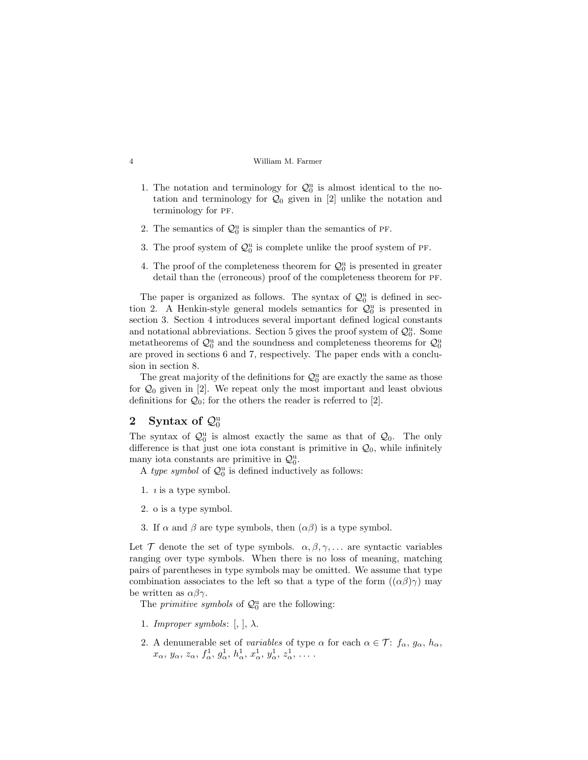- 1. The notation and terminology for  $\mathcal{Q}_0^u$  is almost identical to the notation and terminology for  $\mathcal{Q}_0$  given in [2] unlike the notation and terminology for PF.
- 2. The semantics of  $\mathcal{Q}_0^{\mathrm{u}}$  is simpler than the semantics of PF.
- 3. The proof system of  $\mathcal{Q}_0^{\mathsf{u}}$  is complete unlike the proof system of PF.
- 4. The proof of the completeness theorem for  $\mathcal{Q}_0^{\mathrm{u}}$  is presented in greater detail than the (erroneous) proof of the completeness theorem for pf.

The paper is organized as follows. The syntax of  $\mathcal{Q}_0^{\mathrm{u}}$  is defined in section 2. A Henkin-style general models semantics for  $\mathcal{Q}_0^{\mathrm{u}}$  is presented in section 3. Section 4 introduces several important defined logical constants and notational abbreviations. Section 5 gives the proof system of  $\mathcal{Q}_0^{\mathrm{u}}$ . Some metatheorems of  $\mathcal{Q}_0^{\mathrm{u}}$  and the soundness and completeness theorems for  $\mathcal{Q}_0^{\mathrm{u}}$ are proved in sections 6 and 7, respectively. The paper ends with a conclusion in section 8.

The great majority of the definitions for  $\mathcal{Q}_0^u$  are exactly the same as those for  $\mathcal{Q}_0$  given in [2]. We repeat only the most important and least obvious definitions for  $\mathcal{Q}_0$ ; for the others the reader is referred to [2].

# 2 Syntax of  $\mathcal{Q}_0^{\mathrm{u}}$

The syntax of  $\mathcal{Q}_0^{\mathbf{u}}$  is almost exactly the same as that of  $\mathcal{Q}_0$ . The only difference is that just one iota constant is primitive in  $\mathcal{Q}_0$ , while infinitely many iota constants are primitive in  $\mathcal{Q}_0^{\mathrm{u}}$ .

A type symbol of  $\mathcal{Q}_0^{\mathbf{u}}$  is defined inductively as follows:

- 1.  $\iota$  is a type symbol.
- 2. o is a type symbol.
- 3. If  $\alpha$  and  $\beta$  are type symbols, then  $(\alpha\beta)$  is a type symbol.

Let T denote the set of type symbols.  $\alpha, \beta, \gamma, \dots$  are syntactic variables ranging over type symbols. When there is no loss of meaning, matching pairs of parentheses in type symbols may be omitted. We assume that type combination associates to the left so that a type of the form  $((\alpha\beta)\gamma)$  may be written as  $\alpha\beta\gamma$ .

The *primitive symbols* of  $\mathcal{Q}_0^{\mathsf{u}}$  are the following:

- 1. Improper symbols:  $[ , ], \lambda$ .
- 2. A denumerable set of variables of type  $\alpha$  for each  $\alpha \in \mathcal{T}$ :  $f_{\alpha}, g_{\alpha}, h_{\alpha}$ ,  $x_{\alpha}, y_{\alpha}, z_{\alpha}, f_{\alpha}^1, g_{\alpha}^1, h_{\alpha}^1, x_{\alpha}^1, y_{\alpha}^1, z_{\alpha}^1, \ldots$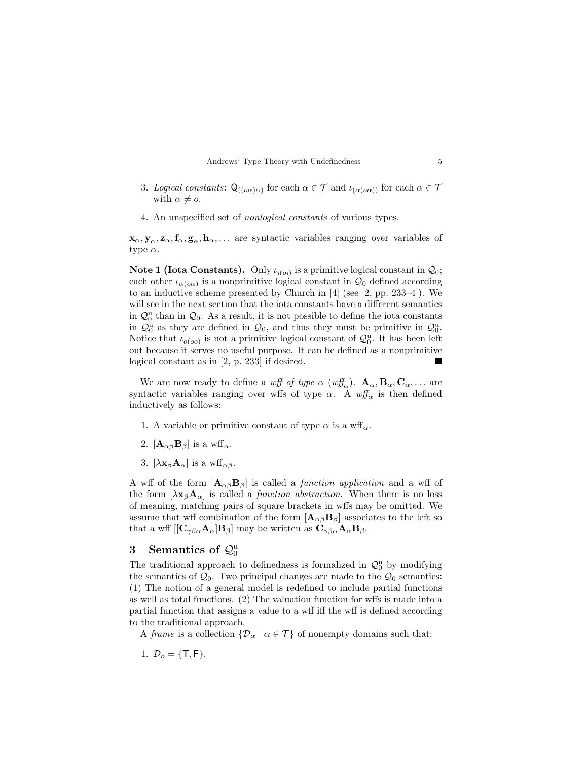- 3. Logical constants:  $Q_{((o\alpha)\alpha)}$  for each  $\alpha \in \mathcal{T}$  and  $\iota_{(\alpha(o\alpha))}$  for each  $\alpha \in \mathcal{T}$ with  $\alpha \neq o$ .
- 4. An unspecified set of nonlogical constants of various types.

 $x_\alpha, y_\alpha, z_\alpha, f_\alpha, g_\alpha, h_\alpha, \ldots$  are syntactic variables ranging over variables of type  $\alpha$ .

**Note 1 (Iota Constants).** Only  $\iota_{\iota(o_i)}$  is a primitive logical constant in  $\mathcal{Q}_0$ ; each other  $\iota_{\alpha(\alpha\alpha)}$  is a nonprimitive logical constant in  $\mathcal{Q}_0$  defined according to an inductive scheme presented by Church in  $[4]$  (see [2, pp. 233–4]). We will see in the next section that the iota constants have a different semantics in  $\mathcal{Q}_0^{\mathrm{u}}$  than in  $\mathcal{Q}_0$ . As a result, it is not possible to define the iota constants in  $\mathcal{Q}_0^{\mathbf{u}}$  as they are defined in  $\mathcal{Q}_0$ , and thus they must be primitive in  $\mathcal{Q}_0^{\mathbf{u}}$ . Notice that  $\iota_{o(oo)}$  is not a primitive logical constant of  $\mathcal{Q}_0^{\mathrm{u}}$ . It has been left out because it serves no useful purpose. It can be defined as a nonprimitive logical constant as in [2, p. 233] if desired.

We are now ready to define a wff of type  $\alpha$  (wff<sub> $\alpha$ </sub>).  $\mathbf{A}_{\alpha}$ ,  $\mathbf{B}_{\alpha}$ ,  $\mathbf{C}_{\alpha}$ ,... are syntactic variables ranging over wffs of type  $\alpha$ . A wff<sub>a</sub> is then defined inductively as follows:

- 1. A variable or primitive constant of type  $\alpha$  is a wff<sub> $\alpha$ </sub>.
- 2.  $[\mathbf{A}_{\alpha\beta} \mathbf{B}_{\beta}]$  is a wff<sub>a</sub>.
- 3.  $[\lambda \mathbf{x}_{\beta} \mathbf{A}_{\alpha}]$  is a wff<sub>αβ</sub>.

A wff of the form  $[A_{\alpha\beta}B_{\beta}]$  is called a *function application* and a wff of the form  $[\lambda \mathbf{x}_{\beta} \mathbf{A}_{\alpha}]$  is called a *function abstraction*. When there is no loss of meaning, matching pairs of square brackets in wffs may be omitted. We assume that wff combination of the form  $[\mathbf{A}_{\alpha\beta} \mathbf{B}_{\beta}]$  associates to the left so that a wff  $\left[\left[\mathbf{C}_{\gamma\beta\alpha}\mathbf{A}_{\alpha}\right]\mathbf{B}_{\beta}\right]$  may be written as  $\mathbf{C}_{\gamma\beta\alpha}\mathbf{A}_{\alpha}\mathbf{B}_{\beta}$ .

# 3 Semantics of  $\mathcal{Q}_0^{\mathrm{u}}$

The traditional approach to definedness is formalized in  $\mathcal{Q}_0^{\mathrm{u}}$  by modifying the semantics of  $\mathcal{Q}_0$ . Two principal changes are made to the  $\mathcal{Q}_0$  semantics: (1) The notion of a general model is redefined to include partial functions as well as total functions. (2) The valuation function for wffs is made into a partial function that assigns a value to a wff iff the wff is defined according to the traditional approach.

A frame is a collection  $\{\mathcal{D}_{\alpha} \mid \alpha \in \mathcal{T}\}\$  of nonempty domains such that:

1. 
$$
\mathcal{D}_o = \{\mathsf{T}, \mathsf{F}\}
$$
.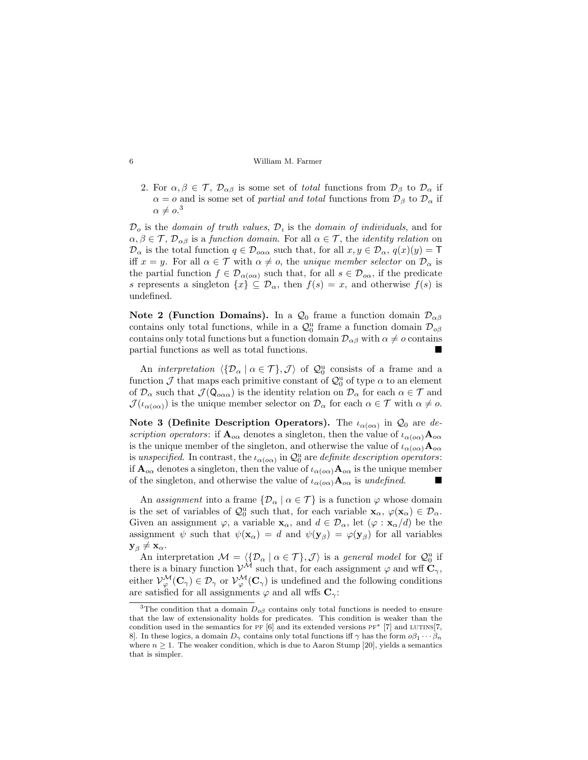2. For  $\alpha, \beta \in \mathcal{T}$ ,  $\mathcal{D}_{\alpha\beta}$  is some set of total functions from  $\mathcal{D}_{\beta}$  to  $\mathcal{D}_{\alpha}$  if  $\alpha = o$  and is some set of *partial and total* functions from  $\mathcal{D}_{\beta}$  to  $\mathcal{D}_{\alpha}$  if  $\alpha \neq o.$ <sup>3</sup>

 $\mathcal{D}_o$  is the *domain of truth values*,  $\mathcal{D}_i$  is the *domain of individuals*, and for  $\alpha, \beta \in \mathcal{T}, \mathcal{D}_{\alpha\beta}$  is a function domain. For all  $\alpha \in \mathcal{T}$ , the *identity relation* on  $\mathcal{D}_{\alpha}$  is the total function  $q \in \mathcal{D}_{\alpha\alpha}$  such that, for all  $x, y \in \mathcal{D}_{\alpha}, q(x)(y) = \mathsf{T}$ iff  $x = y$ . For all  $\alpha \in \mathcal{T}$  with  $\alpha \neq o$ , the unique member selector on  $\mathcal{D}_{\alpha}$  is the partial function  $f \in \mathcal{D}_{\alpha(\infty)}$  such that, for all  $s \in \mathcal{D}_{\alpha}$ , if the predicate s represents a singleton  $\{x\} \subseteq \mathcal{D}_{\alpha}$ , then  $f(s) = x$ , and otherwise  $f(s)$  is undefined.

Note 2 (Function Domains). In a  $\mathcal{Q}_0$  frame a function domain  $\mathcal{D}_{\alpha\beta}$ contains only total functions, while in a  $\mathcal{Q}_0^{\mathrm{u}}$  frame a function domain  $\mathcal{D}_{\mathrm{o}\beta}$ contains only total functions but a function domain  $\mathcal{D}_{\alpha\beta}$  with  $\alpha \neq o$  contains partial functions as well as total functions.

An *interpretation*  $\langle \{D_\alpha \mid \alpha \in \mathcal{T}\}, \mathcal{J} \rangle$  of  $\mathcal{Q}_0^{\mathrm{u}}$  consists of a frame and a function  $\mathcal J$  that maps each primitive constant of  $\mathcal Q^u_0$  of type  $\alpha$  to an element of  $\mathcal{D}_{\alpha}$  such that  $\mathcal{J}(\mathsf{Q}_{\alpha\alpha})$  is the identity relation on  $\mathcal{D}_{\alpha}$  for each  $\alpha \in \mathcal{T}$  and  $\mathcal{J}(\iota_{\alpha(\rho\alpha)})$  is the unique member selector on  $\mathcal{D}_{\alpha}$  for each  $\alpha \in \mathcal{T}$  with  $\alpha \neq o$ .

Note 3 (Definite Description Operators). The  $\iota_{\alpha(\alpha\alpha)}$  in  $\mathcal{Q}_0$  are description operators: if  $\mathbf{A}_{\alpha\alpha}$  denotes a singleton, then the value of  $\iota_{\alpha(\alpha\alpha)}\mathbf{A}_{\alpha\alpha}$ is the unique member of the singleton, and otherwise the value of  $\iota_{\alpha(\alpha\alpha)}\mathbf{A}_{o\alpha}$ is unspecified. In contrast, the  $\iota_{\alpha(\alpha\alpha)}$  in  $\mathcal{Q}_0^{\mathbf{u}}$  are definite description operators: if  $\mathbf{A}_{o\alpha}$  denotes a singleton, then the value of  $\iota_{\alpha(o\alpha)}\mathbf{A}_{o\alpha}$  is the unique member of the singleton, and otherwise the value of  $\iota_{\alpha(\rho\alpha)}\mathbf{A}_{\rho\alpha}$  is undefined.

An assignment into a frame  $\{\mathcal{D}_{\alpha} \mid \alpha \in \mathcal{T}\}\$ is a function  $\varphi$  whose domain is the set of variables of  $\mathcal{Q}_0^u$  such that, for each variable  $\mathbf{x}_{\alpha}, \varphi(\mathbf{x}_{\alpha}) \in \mathcal{D}_{\alpha}$ . Given an assignment  $\varphi$ , a variable  $\mathbf{x}_{\alpha}$ , and  $d \in \mathcal{D}_{\alpha}$ , let  $(\varphi : \mathbf{x}_{\alpha}/d)$  be the assignment  $\psi$  such that  $\psi(\mathbf{x}_{\alpha}) = d$  and  $\psi(\mathbf{y}_{\beta}) = \varphi(\mathbf{y}_{\beta})$  for all variables  $\mathbf{y}_{\beta}\neq \mathbf{x}_{\alpha}.$ 

An interpretation  $\mathcal{M} = \langle \{ \mathcal{D}_{\alpha} \mid \alpha \in \mathcal{T} \}, \mathcal{J} \rangle$  is a general model for  $\mathcal{Q}_0^{\alpha}$  if there is a binary function  $\mathcal{V}^{\mathcal{M}}$  such that, for each assignment  $\varphi$  and wff  $\mathbf{C}_{\gamma}$ , either  $\mathcal{V}_{\varphi}^{\mathcal{M}}(\mathbf{C}_{\gamma}) \in \mathcal{D}_{\gamma}$  or  $\mathcal{V}_{\varphi}^{\mathcal{M}}(\mathbf{C}_{\gamma})$  is undefined and the following conditions are satisfied for all assignments  $\varphi$  and all wffs  $\mathbf{C}_{\gamma}$ :

<sup>&</sup>lt;sup>3</sup>The condition that a domain  $D_{\sigma\beta}$  contains only total functions is needed to ensure that the law of extensionality holds for predicates. This condition is weaker than the condition used in the semantics for PF  $[6]$  and its extended versions PF<sup>\*</sup>  $[7]$  and LUTINS $[7]$ , 8]. In these logics, a domain  $D_{\gamma}$  contains only total functions iff  $\gamma$  has the form  $\phi \beta_1 \cdots \beta_n$ where  $n \geq 1$ . The weaker condition, which is due to Aaron Stump [20], yields a semantics that is simpler.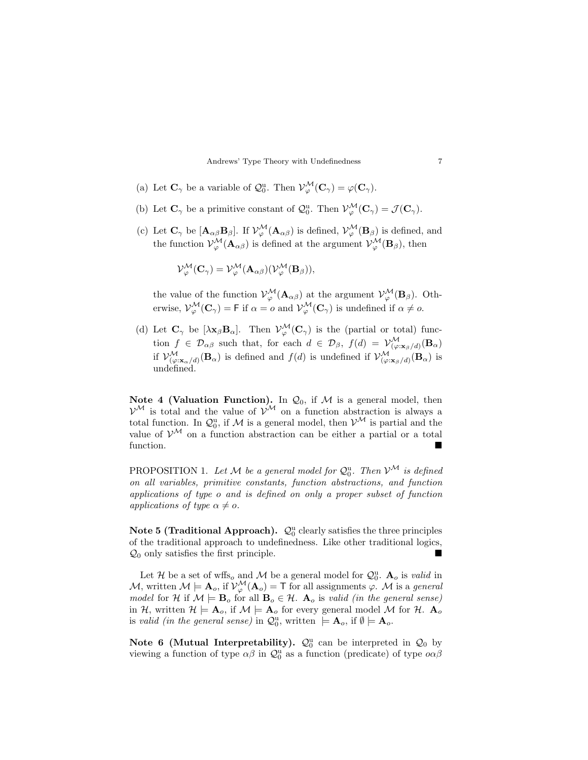- (a) Let  $\mathbf{C}_{\gamma}$  be a variable of  $\mathcal{Q}_0^{\mathrm{u}}$ . Then  $\mathcal{V}_{\varphi}^{\mathcal{M}}(\mathbf{C}_{\gamma}) = \varphi(\mathbf{C}_{\gamma})$ .
- (b) Let  $\mathbf{C}_{\gamma}$  be a primitive constant of  $\mathcal{Q}_0^{\mathrm{u}}$ . Then  $\mathcal{V}_{\varphi}^{\mathcal{M}}(\mathbf{C}_{\gamma}) = \mathcal{J}(\mathbf{C}_{\gamma})$ .
- (c) Let  $\mathbf{C}_{\gamma}$  be  $[\mathbf{A}_{\alpha\beta}\mathbf{B}_{\beta}]$ . If  $\mathcal{V}_{\varphi}^{\mathcal{M}}(\mathbf{A}_{\alpha\beta})$  is defined,  $\mathcal{V}_{\varphi}^{\mathcal{M}}(\mathbf{B}_{\beta})$  is defined, and the function  $\mathcal{V}_{\varphi}^{\mathcal{M}}(\mathbf{A}_{\alpha\beta})$  is defined at the argument  $\mathcal{V}_{\varphi}^{\mathcal{M}}(\mathbf{B}_{\beta})$ , then

$$
\mathcal{V}_{\varphi}^{\mathcal{M}}(\mathbf{C}_{\gamma}) = \mathcal{V}_{\varphi}^{\mathcal{M}}(\mathbf{A}_{\alpha\beta})(\mathcal{V}_{\varphi}^{\mathcal{M}}(\mathbf{B}_{\beta})),
$$

the value of the function  $\mathcal{V}_{\varphi}^{\mathcal{M}}(\mathbf{A}_{\alpha\beta})$  at the argument  $\mathcal{V}_{\varphi}^{\mathcal{M}}(\mathbf{B}_{\beta})$ . Otherwise,  $\mathcal{V}_{\varphi}^{\mathcal{M}}(\mathbf{C}_{\gamma}) = \mathsf{F}$  if  $\alpha = o$  and  $\mathcal{V}_{\varphi}^{\mathcal{M}}(\mathbf{C}_{\gamma})$  is undefined if  $\alpha \neq o$ .

(d) Let  $\mathbf{C}_{\gamma}$  be  $[\lambda \mathbf{x}_{\beta} \mathbf{B}_{\alpha}]$ . Then  $\mathcal{V}_{\varphi}^{\mathcal{M}}(\mathbf{C}_{\gamma})$  is the (partial or total) function  $f \in \mathcal{D}_{\alpha\beta}$  such that, for each  $d \in \mathcal{D}_{\beta}$ ,  $f(d) = \mathcal{V}_{(\varphi:\mathbf{x}_{\beta}/d)}^{\mathcal{M}}(\mathbf{B}_{\alpha})$ if  $\mathcal{V}_{(\varphi;\mathbf{x}_{\alpha}/d)}^{\mathcal{M}}(\mathbf{B}_{\alpha})$  is defined and  $f(d)$  is undefined if  $\mathcal{V}_{(\varphi;\mathbf{x}_{\beta}/d)}^{\mathcal{M}}(\mathbf{B}_{\alpha})$  is undefined.

Note 4 (Valuation Function). In  $\mathcal{Q}_0$ , if M is a general model, then  $\mathcal{V}^{\mathcal{M}}$  is total and the value of  $\mathcal{V}^{\mathcal{M}}$  on a function abstraction is always a total function. In  $\mathcal{Q}_0^u$ , if M is a general model, then  $\mathcal{V}^{\mathcal{M}}$  is partial and the value of  $V^{\mathcal{M}}$  on a function abstraction can be either a partial or a total function.

PROPOSITION 1. Let M be a general model for  $\mathcal{Q}_0^{\mathrm{u}}$ . Then  $\mathcal{V}^\mathcal{M}$  is defined on all variables, primitive constants, function abstractions, and function applications of type o and is defined on only a proper subset of function applications of type  $\alpha \neq o$ .

Note 5 (Traditional Approach).  $\mathcal{Q}_0^{\mathrm{u}}$  clearly satisfies the three principles of the traditional approach to undefinedness. Like other traditional logics,  $\mathcal{Q}_0$  only satisfies the first principle.

Let H be a set of wffs<sub>o</sub> and M be a general model for  $\mathcal{Q}_0^{\mathrm{u}}$ .  $\mathbf{A}_o$  is *valid* in M, written  $\mathcal{M} \models A_o$ , if  $\mathcal{V}_{\varphi}^{\mathcal{M}}(A_o) = T$  for all assignments  $\varphi$ . M is a general model for H if  $\mathcal{M} \models \mathbf{B}_o$  for all  $\mathbf{B}_o \in \mathcal{H}$ .  $\mathbf{A}_o$  is valid (in the general sense) in H, written  $\mathcal{H} \models A_o$ , if  $\mathcal{M} \models A_o$  for every general model M for H.  $A_o$ is valid (in the general sense) in  $\mathcal{Q}_0^{\mathrm{u}}$ , written  $| = \mathbf{A}_o$ , if  $\emptyset | = \mathbf{A}_o$ .

Note 6 (Mutual Interpretability).  $\mathcal{Q}_0^{\mathrm{u}}$  can be interpreted in  $\mathcal{Q}_0$  by viewing a function of type  $\alpha\beta$  in  $\mathcal{Q}_0^u$  as a function (predicate) of type  $o\alpha\beta$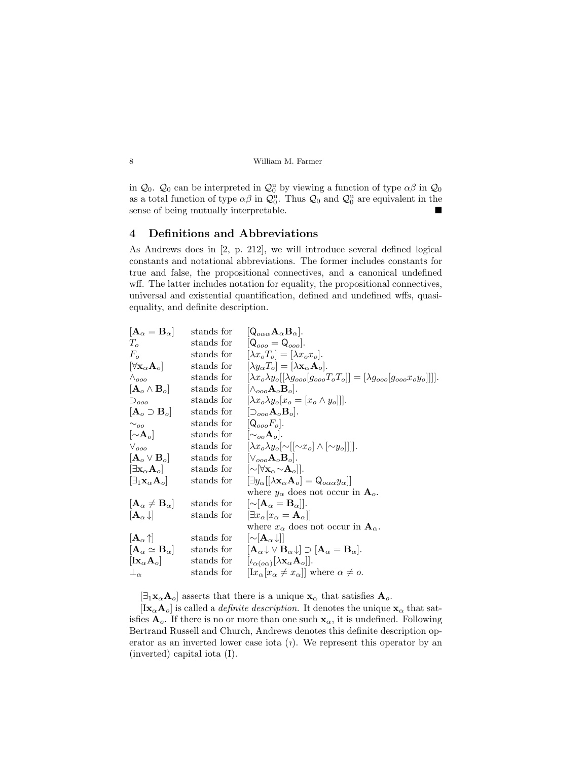in  $\mathcal{Q}_0$ .  $\mathcal{Q}_0$  can be interpreted in  $\mathcal{Q}_0^{\text{u}}$  by viewing a function of type  $\alpha\beta$  in  $\mathcal{Q}_0$ as a total function of type  $\alpha\beta$  in  $\mathcal{Q}_0^u$ . Thus  $\mathcal{Q}_0$  and  $\mathcal{Q}_0^u$  are equivalent in the sense of being mutually interpretable.

# 4 Definitions and Abbreviations

As Andrews does in [2, p. 212], we will introduce several defined logical constants and notational abbreviations. The former includes constants for true and false, the propositional connectives, and a canonical undefined wff. The latter includes notation for equality, the propositional connectives, universal and existential quantification, defined and undefined wffs, quasiequality, and definite description.

| $[\mathbf{A}_\alpha=\mathbf{B}_\alpha]$             | stands for | $[Q_{o\alpha\alpha}A_{\alpha}B_{\alpha}].$                                                                                  |
|-----------------------------------------------------|------------|-----------------------------------------------------------------------------------------------------------------------------|
| $T_{\alpha}$                                        | stands for | $[Q_{oo} = Q_{oo}].$                                                                                                        |
| $F_{\alpha}$                                        | stands for | $[\lambda x_o T_o] = [\lambda x_o x_o].$                                                                                    |
| $[\forall \mathbf{x}_{\alpha} \mathbf{A}_{o}]$      | stands for | $[\lambda y_{\alpha}T_{\alpha}] = [\lambda \mathbf{x}_{\alpha} \mathbf{A}_{\alpha}].$                                       |
| $\wedge_{ooo}$                                      | stands for | $[\lambda x_o \lambda y_o[[\lambda g_{ooo} [g_{ooo} T_o T_o]] = [\lambda g_{ooo} [g_{ooo} x_o y_o]]]].$                     |
| $[\mathbf{A}_o \wedge \mathbf{B}_o]$                | stands for | $ \wedge_{ooo}A_oB_o .$                                                                                                     |
| $\supset$ <sub>000</sub>                            | stands for | $[\lambda x_o \lambda y_o   x_o = [x_o \wedge y_o]]].$                                                                      |
| $[\mathbf{A}_o \supset \mathbf{B}_o]$               | stands for | $\left[\supset_{ooo} A_o B_o\right]$ .                                                                                      |
| $\sim_{oo}$                                         | stands for | $[Q_{ooo}F_o].$                                                                                                             |
| $\left[\sim\!{\bf A}_o\right]$                      | stands for | $[\sim_{oo}A_o].$                                                                                                           |
| $\vee_{ooo}$                                        | stands for | $[\lambda x_o \lambda y_o \sim   \sim x_o] \wedge  \sim y_o     .$                                                          |
| $[\mathbf{A}_o \vee \mathbf{B}_o]$                  | stands for | $[\vee_{ooo}A_0B_0].$                                                                                                       |
| $[\exists \mathbf{x}_{\alpha} \mathbf{A}_{o}]$      | stands for | $\left[\sim\!\left[\forall \mathbf{x}_{\alpha} \!\sim\! \mathbf{A}_{o} \right]\right]$ .                                    |
| $[\exists_1\mathbf{x}_{\alpha}\mathbf{A}_o]$        | stands for | $[\exists y_\alpha[[\lambda{\mathbf x}_\alpha{\mathbf A}_o]={\mathsf Q}_{o\alpha\alpha}y_\alpha]]$                          |
|                                                     |            | where $y_{\alpha}$ does not occur in $\mathbf{A}_{o}$ .                                                                     |
| $[\mathbf{A}_{\alpha} \neq \mathbf{B}_{\alpha}]$    | stands for | $[\sim]$ <b>A</b> <sub><math>\alpha</math></sub> = <b>B</b> <sub><math>\alpha</math></sub> ].                               |
| $[\mathbf{A}_{\alpha} \downarrow]$                  | stands for | $[\exists x_{\alpha}[x_{\alpha}=\mathbf{A}_{\alpha}]]$                                                                      |
|                                                     |            | where $x_{\alpha}$ does not occur in $\mathbf{A}_{\alpha}$ .                                                                |
| $ {\bf A}_\alpha \!\uparrow  $                      | stands for | $ \sim {\bf A}_\alpha\downarrow  $                                                                                          |
| $[\mathbf{A}_\alpha \simeq \mathbf{B}_\alpha]^\top$ | stands for | $[\mathbf{A}_{\alpha} \downarrow \vee \mathbf{B}_{\alpha} \downarrow] \supset [\mathbf{A}_{\alpha} = \mathbf{B}_{\alpha}].$ |
| $\left[{\rm Ix}_{\alpha}{\rm A}_{o}\right]$         | stands for | $[\iota_{\alpha(\mathfrak{o}\alpha)}[\lambda \mathbf{x}_{\alpha}\mathbf{A}_{o}]].$                                          |
| $\perp_{\alpha}$                                    | stands for | $\left[ \mathrm{I}x_{\alpha} \left[ x_{\alpha} \neq x_{\alpha} \right] \right]$ where $\alpha \neq o$ .                     |
|                                                     |            |                                                                                                                             |

 $[\exists_1 \mathbf{x}_{\alpha} \mathbf{A}_{o}]$  asserts that there is a unique  $\mathbf{x}_{\alpha}$  that satisfies  $\mathbf{A}_{o}$ .

 $[\mathbf{I} \mathbf{x}_{\alpha} \mathbf{A}_{o}]$  is called a *definite description*. It denotes the unique  $\mathbf{x}_{\alpha}$  that satisfies  $A_o$ . If there is no or more than one such  $x_\alpha$ , it is undefined. Following Bertrand Russell and Church, Andrews denotes this definite description operator as an inverted lower case iota  $(i)$ . We represent this operator by an (inverted) capital iota (I).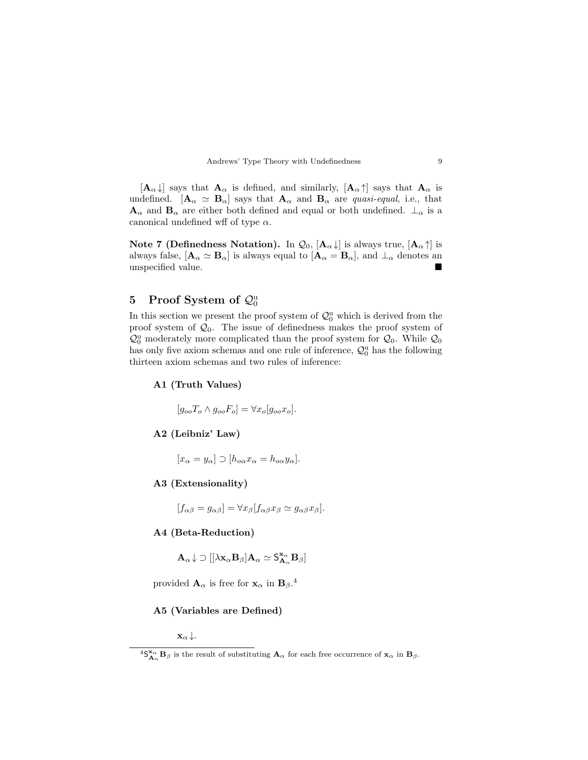

 $[\mathbf{A}_{\alpha} \downarrow]$  says that  $\mathbf{A}_{\alpha}$  is defined, and similarly,  $[\mathbf{A}_{\alpha} \uparrow]$  says that  $\mathbf{A}_{\alpha}$  is undefined.  $[\mathbf{A}_{\alpha} \simeq \mathbf{B}_{\alpha}]$  says that  $\mathbf{A}_{\alpha}$  and  $\mathbf{B}_{\alpha}$  are quasi-equal, i.e., that  $\mathbf{A}_{\alpha}$  and  $\mathbf{B}_{\alpha}$  are either both defined and equal or both undefined.  $\perp_{\alpha}$  is a canonical undefined wff of type  $\alpha$ .

Note 7 (Definedness Notation). In  $\mathcal{Q}_0$ ,  $[\mathbf{A}_{\alpha} \downarrow]$  is always true,  $[\mathbf{A}_{\alpha} \uparrow]$  is always false,  $[\mathbf{A}_{\alpha} \simeq \mathbf{B}_{\alpha}]$  is always equal to  $[\mathbf{A}_{\alpha} = \mathbf{B}_{\alpha}]$ , and  $\perp_{\alpha}$  denotes an unspecified value.

# 5 Proof System of  $\mathcal{Q}_0^{\mathrm{u}}$

In this section we present the proof system of  $\mathcal{Q}_0^{\mathrm{u}}$  which is derived from the proof system of  $\mathcal{Q}_0$ . The issue of definedness makes the proof system of  $\mathcal{Q}_0^{\mathrm{u}}$  moderately more complicated than the proof system for  $\mathcal{Q}_0$ . While  $\mathcal{Q}_0$ has only five axiom schemas and one rule of inference,  $\mathcal{Q}_0^{\mathrm{u}}$  has the following thirteen axiom schemas and two rules of inference:

#### A1 (Truth Values)

 $[g_{oo}T_o \wedge g_{oo}F_o] = \forall x_o[g_{oo}x_o].$ 

# A2 (Leibniz' Law)

 $[x_{\alpha} = y_{\alpha}] \supset [h_{o\alpha} x_{\alpha} = h_{o\alpha} y_{\alpha}].$ 

#### A3 (Extensionality)

 $[f_{\alpha\beta} = g_{\alpha\beta}] = \forall x_{\beta} [f_{\alpha\beta} x_{\beta} \simeq g_{\alpha\beta} x_{\beta}].$ 

### A4 (Beta-Reduction)

 $\mathbf{A}_{\alpha} \downarrow \supset [[\lambda \mathbf{x}_{\alpha} \mathbf{B}_{\beta}] \mathbf{A}_{\alpha} \simeq \mathsf{S}_{\mathbf{A}_{\alpha}}^{\mathbf{x}_{\alpha}} \mathbf{B}_{\beta}]$ 

provided  $\mathbf{A}_{\alpha}$  is free for  $\mathbf{x}_{\alpha}$  in  $\mathbf{B}_{\beta}$ .<sup>4</sup>

#### A5 (Variables are Defined)

 $\mathbf{x}_{\alpha} \downarrow$ .

 ${}^4S^{\mathbf{x}_\alpha}_{\mathbf{A}_\alpha} \mathbf{B}_\beta$  is the result of substituting  $\mathbf{A}_\alpha$  for each free occurrence of  $\mathbf{x}_\alpha$  in  $\mathbf{B}_\beta$ .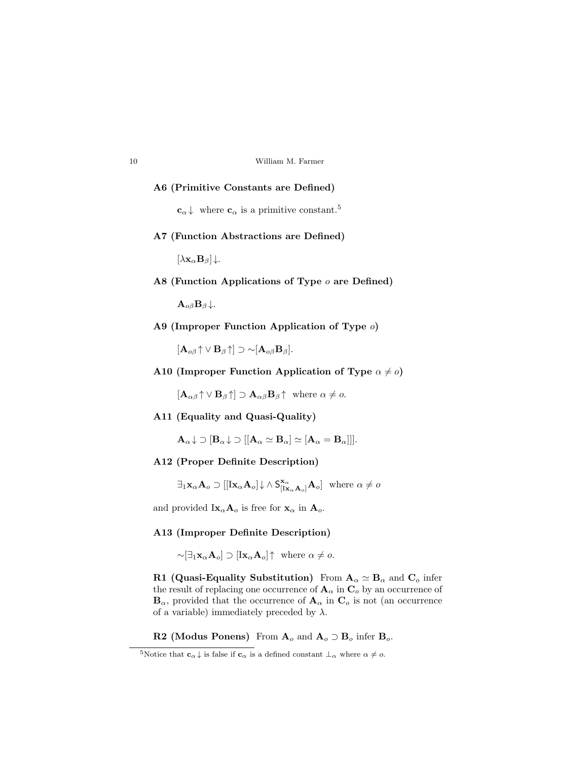| 10 | William M. Farmer |  |
|----|-------------------|--|
|    |                   |  |

#### A6 (Primitive Constants are Defined)

 $c_{\alpha}$   $\downarrow$  where  $c_{\alpha}$  is a primitive constant.<sup>5</sup>

A7 (Function Abstractions are Defined)

 $[\lambda \mathbf{x}_{\alpha} \mathbf{B}_{\beta}]\downarrow.$ 

A8 (Function Applications of Type  $o$  are Defined)

 $\mathbf{A}_{o\beta} \mathbf{B}_{\beta} \downarrow.$ 

A9 (Improper Function Application of Type o)

 $[\mathbf{A}_{o\beta} \uparrow \vee \mathbf{B}_{\beta} \uparrow] \supset \sim [\mathbf{A}_{o\beta} \mathbf{B}_{\beta}].$ 

A10 (Improper Function Application of Type  $\alpha \neq 0$ )

 $[\mathbf{A}_{\alpha\beta} \uparrow \vee \mathbf{B}_{\beta} \uparrow] \supset \mathbf{A}_{\alpha\beta} \mathbf{B}_{\beta} \uparrow \text{ where } \alpha \neq o.$ 

A11 (Equality and Quasi-Quality)

 $A_{\alpha} \downarrow \supset [B_{\alpha} \downarrow \supset [[A_{\alpha} \simeq B_{\alpha}] \simeq [A_{\alpha} = B_{\alpha}]]].$ 

A12 (Proper Definite Description)

 $\exists_1 \mathbf{x}_{\alpha} \mathbf{A}_{o} \supset [[\mathbf{I}\mathbf{x}_{\alpha} \mathbf{A}_{o}] \downarrow \wedge \mathsf{S}_{[\mathbf{I}\mathbf{x}_{\alpha} \mathbf{A}_{o}]}^{\mathbf{x}_{\alpha}} \mathbf{A}_{o}]$  where  $\alpha \neq o$ 

and provided  $\text{Ix}_{\alpha}$ **A**<sub>o</sub> is free for **x**<sub> $\alpha$ </sub> in **A**<sub>o</sub>.

## A13 (Improper Definite Description)

 $\sim \left[\exists_1 \mathbf{x}_{\alpha} \mathbf{A}_{o}\right] \supset \left[\mathbf{I} \mathbf{x}_{\alpha} \mathbf{A}_{o}\right] \uparrow$  where  $\alpha \neq o$ .

R1 (Quasi-Equality Substitution) From  $A_{\alpha} \simeq B_{\alpha}$  and  $C_{\alpha}$  infer the result of replacing one occurrence of  $\mathbf{A}_{\alpha}$  in  $\mathbf{C}_{o}$  by an occurrence of  $\mathbf{B}_{\alpha}$ , provided that the occurrence of  $\mathbf{A}_{\alpha}$  in  $\mathbf{C}_{o}$  is not (an occurrence of a variable) immediately preceded by  $\lambda$ .

R2 (Modus Ponens) From  $A_o$  and  $A_o \supset B_o$  infer  $B_o$ .

<sup>&</sup>lt;sup>5</sup>Notice that  $\mathbf{c}_{\alpha} \downarrow$  is false if  $\mathbf{c}_{\alpha}$  is a defined constant  $\perp_{\alpha}$  where  $\alpha \neq o$ .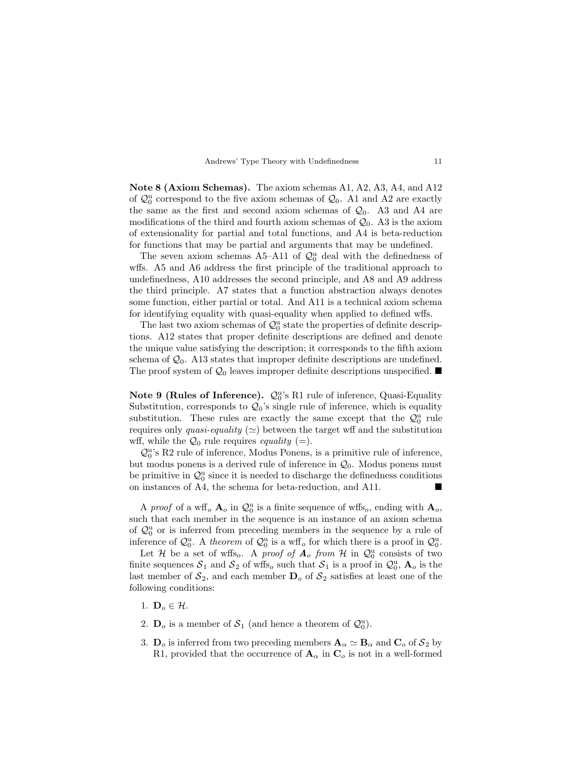|  |  |  |  | Andrews' Type Theory with Undefinedness |  |  |  |
|--|--|--|--|-----------------------------------------|--|--|--|
|--|--|--|--|-----------------------------------------|--|--|--|

Note 8 (Axiom Schemas). The axiom schemas A1, A2, A3, A4, and A12 of  $\mathcal{Q}_0^{\mathrm{u}}$  correspond to the five axiom schemas of  $\mathcal{Q}_0$ . A1 and A2 are exactly the same as the first and second axiom schemas of  $\mathcal{Q}_0$ . A3 and A4 are modifications of the third and fourth axiom schemas of  $\mathcal{Q}_0$ . A3 is the axiom of extensionality for partial and total functions, and A4 is beta-reduction for functions that may be partial and arguments that may be undefined.

The seven axiom schemas A5-A11 of  $\mathcal{Q}_0^{\mathrm{u}}$  deal with the definedness of wffs. A5 and A6 address the first principle of the traditional approach to undefinedness, A10 addresses the second principle, and A8 and A9 address the third principle. A7 states that a function abstraction always denotes some function, either partial or total. And A11 is a technical axiom schema for identifying equality with quasi-equality when applied to defined wffs.

The last two axiom schemas of  $\mathcal{Q}_0^{\mathrm{u}}$  state the properties of definite descriptions. A12 states that proper definite descriptions are defined and denote the unique value satisfying the description; it corresponds to the fifth axiom schema of  $\mathcal{Q}_0$ . A13 states that improper definite descriptions are undefined. The proof system of  $\mathcal{Q}_0$  leaves improper definite descriptions unspecified.

Note 9 (Rules of Inference).  $\mathcal{Q}_0^{\text{u}}$ 's R1 rule of inference, Quasi-Equality Substitution, corresponds to  $\mathcal{Q}_0$ 's single rule of inference, which is equality substitution. These rules are exactly the same except that the  $\mathcal{Q}_0^{\mathrm{u}}$  rule requires only *quasi-equality* ( $\simeq$ ) between the target wff and the substitution wff, while the  $\mathcal{Q}_0$  rule requires *equality* (=).

 $\mathcal{Q}_0^\text{u's}$  R2 rule of inference, Modus Ponens, is a primitive rule of inference, but modus ponens is a derived rule of inference in  $\mathcal{Q}_0$ . Modus ponens must be primitive in  $\mathcal{Q}_0^{\mathrm{u}}$  since it is needed to discharge the definedness conditions on instances of A4, the schema for beta-reduction, and A11.

A *proof* of a wff<sub>o</sub>  $\mathbf{A}_o$  in  $\mathcal{Q}_0^{\mathrm{u}}$  is a finite sequence of wffs<sub>o</sub>, ending with  $\mathbf{A}_o$ , such that each member in the sequence is an instance of an axiom schema of  $\mathcal{Q}_0^{\mathrm{u}}$  or is inferred from preceding members in the sequence by a rule of inference of  $\mathcal{Q}_0^{\mathrm{u}}$ . A theorem of  $\mathcal{Q}_0^{\mathrm{u}}$  is a wff<sub>o</sub> for which there is a proof in  $\mathcal{Q}_0^{\mathrm{u}}$ .

Let H be a set of wffs. A proof of  $A_o$  from H in  $\mathcal{Q}_0^{\mathrm{u}}$  consists of two finite sequences  $S_1$  and  $S_2$  of wffs<sub>o</sub> such that  $S_1$  is a proof in  $\mathcal{Q}_0^{\mathrm{u}}$ ,  $\mathbf{A}_o$  is the last member of  $S_2$ , and each member  $D_0$  of  $S_2$  satisfies at least one of the following conditions:

- 1.  $\mathbf{D}_o \in \mathcal{H}$ .
- 2.  $\mathbf{D}_o$  is a member of  $\mathcal{S}_1$  (and hence a theorem of  $\mathcal{Q}_0^{\mathsf{u}}$ ).
- 3.  $\mathbf{D}_o$  is inferred from two preceding members  $\mathbf{A}_{\alpha} \simeq \mathbf{B}_{\alpha}$  and  $\mathbf{C}_o$  of  $\mathcal{S}_2$  by R1, provided that the occurrence of  $\mathbf{A}_{\alpha}$  in  $\mathbf{C}_{o}$  is not in a well-formed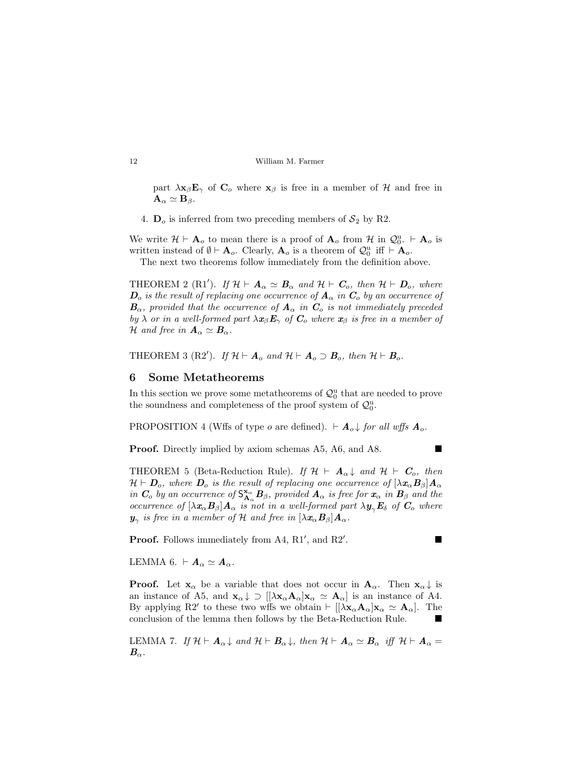part  $\lambda x_{\beta}E_{\gamma}$  of  $C_{o}$  where  $x_{\beta}$  is free in a member of H and free in  ${\bf A}_\alpha \simeq {\bf B}_\beta.$ 

4.  $\mathbf{D}_o$  is inferred from two preceding members of  $\mathcal{S}_2$  by R2.

We write  $\mathcal{H} \vdash A_o$  to mean there is a proof of  $A_o$  from  $\mathcal{H}$  in  $\mathcal{Q}_0^{\mathrm{u}} \vdash A_o$  is written instead of  $\emptyset \vdash A_o$ . Clearly,  $A_o$  is a theorem of  $\mathcal{Q}_0^{\mathrm{u}}$  iff  $\vdash A_o$ .

The next two theorems follow immediately from the definition above.

THEOREM 2 (R1'). If  $\mathcal{H} \vdash A_{\alpha} \simeq B_{\alpha}$  and  $\mathcal{H} \vdash C_{o}$ , then  $\mathcal{H} \vdash D_{o}$ , where  $\mathbf{D}_o$  is the result of replacing one occurrence of  $\mathbf{A}_{\alpha}$  in  $\mathbf{C}_o$  by an occurrence of  $B_{\alpha}$ , provided that the occurrence of  $A_{\alpha}$  in  $C_{\alpha}$  is not immediately preceded by  $\lambda$  or in a well-formed part  $\lambda x_{\beta}E_{\gamma}$  of  $C_{o}$  where  $x_{\beta}$  is free in a member of H and free in  $A_{\alpha} \simeq B_{\alpha}$ .

THEOREM 3 (R2'). If  $\mathcal{H} \vdash A_o$  and  $\mathcal{H} \vdash A_o \supset B_o$ , then  $\mathcal{H} \vdash B_o$ .

#### 6 Some Metatheorems

In this section we prove some metatheorems of  $\mathcal{Q}_0^{\mathrm{u}}$  that are needed to prove the soundness and completeness of the proof system of  $\mathcal{Q}_0^{\mathrm{u}}$ .

PROPOSITION 4 (Wffs of type o are defined).  $\vdash A_o \downarrow$  for all wffs  $A_o$ .

**Proof.** Directly implied by axiom schemas A5, A6, and A8. ■

THEOREM 5 (Beta-Reduction Rule). If  $\mathcal{H} \vdash A_{\alpha} \downarrow$  and  $\mathcal{H} \vdash C_o$ , then  $\mathcal{H} \vdash \mathbf{D}_o$ , where  $\mathbf{D}_o$  is the result of replacing one occurrence of  $[\lambda \mathbf{x}_{\alpha} \mathbf{B}_{\beta}] \mathbf{A}_{\alpha}$ in  $C_o$  by an occurrence of  $S_{\bf{A}_{\alpha}}^{\bf{x}_{\alpha}}B_{\beta}$ , provided  $\bf{A}_{\alpha}$  is free for  $\bf{x}_{\alpha}$  in  $B_{\beta}$  and the occurrence of  $[\lambda x_{\alpha}B_{\beta}]A_{\alpha}$  is not in a well-formed part  $\lambda y_{\gamma}E_{\delta}$  of  $C_{o}$  where  $\bm{y}_{\gamma}$  is free in a member of H and free in  $[\lambda \bm{x}_{\alpha} \bm{B}_{\beta}] \bm{A}_{\alpha}$ .

**Proof.** Follows immediately from A4,  $R1'$ , and  $R2'$ 

.

LEMMA 6.  $\vdash A_{\alpha} \simeq A_{\alpha}$ .

**Proof.** Let  $\mathbf{x}_{\alpha}$  be a variable that does not occur in  $\mathbf{A}_{\alpha}$ . Then  $\mathbf{x}_{\alpha}\downarrow$  is an instance of A5, and  $\mathbf{x}_{\alpha} \downarrow \supset [\![\lambda \mathbf{x}_{\alpha} \mathbf{A}_{\alpha}]\mathbf{x}_{\alpha} \simeq \mathbf{A}_{\alpha}]$  is an instance of A4. By applying R2' to these two wffs we obtain  $\vdash [[\lambda \mathbf{x}_{\alpha} \mathbf{A}_{\alpha}] \mathbf{x}_{\alpha} \simeq \mathbf{A}_{\alpha}]$ . The conclusion of the lemma then follows by the Beta-Reduction Rule.

LEMMA 7. If  $\mathcal{H} \vdash A_{\alpha} \downarrow$  and  $\mathcal{H} \vdash B_{\alpha} \downarrow$ , then  $\mathcal{H} \vdash A_{\alpha} \simeq B_{\alpha}$  iff  $\mathcal{H} \vdash A_{\alpha} =$  $\boldsymbol{B}_{\alpha}$  .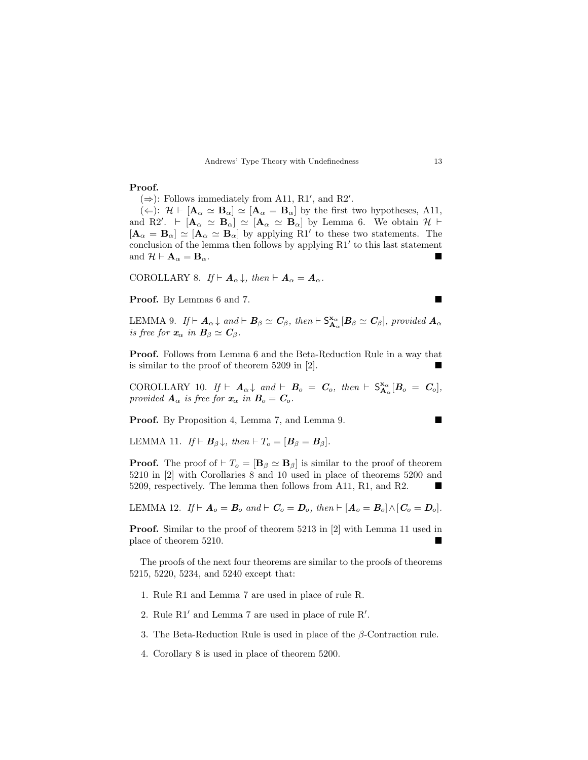#### Proof.

 $(\Rightarrow)$ : Follows immediately from A11, R1', and R2'.

 $(\Leftarrow): \mathcal{H} \vdash [\mathbf{A}_{\alpha} \simeq \mathbf{B}_{\alpha}] \simeq [\mathbf{A}_{\alpha} = \mathbf{B}_{\alpha}]$  by the first two hypotheses, A11, and R2'.  $\vdash [\mathbf{A}_{\alpha} \simeq \mathbf{B}_{\alpha}] \simeq [\mathbf{A}_{\alpha} \simeq \mathbf{B}_{\alpha}]$  by Lemma 6. We obtain  $\mathcal{H} \vdash$  $[\mathbf{A}_{\alpha} = \mathbf{B}_{\alpha}] \simeq [\mathbf{A}_{\alpha} \simeq \mathbf{B}_{\alpha}]$  by applying R1' to these two statements. The conclusion of the lemma then follows by applying  $R1'$  to this last statement and  $\mathcal{H} \vdash A_{\alpha} = \mathbf{B}_{\alpha}$ .

COROLLARY 8. If  $\vdash A_{\alpha}\downarrow$ , then  $\vdash A_{\alpha} = A_{\alpha}$ .

Proof. By Lemmas 6 and 7.

LEMMA 9. If  $\vdash A_{\alpha}\downarrow$  and  $\vdash B_{\beta}\simeq C_{\beta}$ , then  $\vdash S_{A_{\alpha}}^{\mathbf{x}_{\alpha}}[B_{\beta}\simeq C_{\beta}]$ , provided  $A_{\alpha}$ is free for  $\mathbf{x}_{\alpha}$  in  $\mathbf{B}_{\beta} \simeq \mathbf{C}_{\beta}$ .

Proof. Follows from Lemma 6 and the Beta-Reduction Rule in a way that is similar to the proof of theorem 5209 in [2].

COROLLARY 10. If  $\vdash A_{\alpha} \downarrow$  and  $\vdash B_{o} = C_{o}$ , then  $\vdash S_{A_{\alpha}}^{\mathbf{x}_{\alpha}}[B_{o} = C_{o}],$ provided  $\mathbf{A}_{\alpha}$  is free for  $\mathbf{x}_{\alpha}$  in  $\mathbf{B}_{o} = \mathbf{C}_{o}$ .

Proof. By Proposition 4, Lemma 7, and Lemma 9.

LEMMA 11. If  $\vdash$   $B_{\beta} \downarrow$ , then  $\vdash T_o = [B_{\beta} = B_{\beta}].$ 

**Proof.** The proof of  $\vdash T_o = [\mathbf{B}_{\beta} \simeq \mathbf{B}_{\beta}]$  is similar to the proof of theorem 5210 in [2] with Corollaries 8 and 10 used in place of theorems 5200 and 5209, respectively. The lemma then follows from A11, R1, and R2.

LEMMA 12. If  $\vdash A_{o} = B_{o}$  and  $\vdash C_{o} = D_{o}$ , then  $\vdash [A_{o} = B_{o}] \wedge [C_{o} = D_{o}]$ .

Proof. Similar to the proof of theorem 5213 in [2] with Lemma 11 used in place of theorem 5210.

The proofs of the next four theorems are similar to the proofs of theorems 5215, 5220, 5234, and 5240 except that:

- 1. Rule R1 and Lemma 7 are used in place of rule R.
- 2. Rule  $R1'$  and Lemma 7 are used in place of rule  $R'$ .
- 3. The Beta-Reduction Rule is used in place of the  $\beta$ -Contraction rule.
- 4. Corollary 8 is used in place of theorem 5200.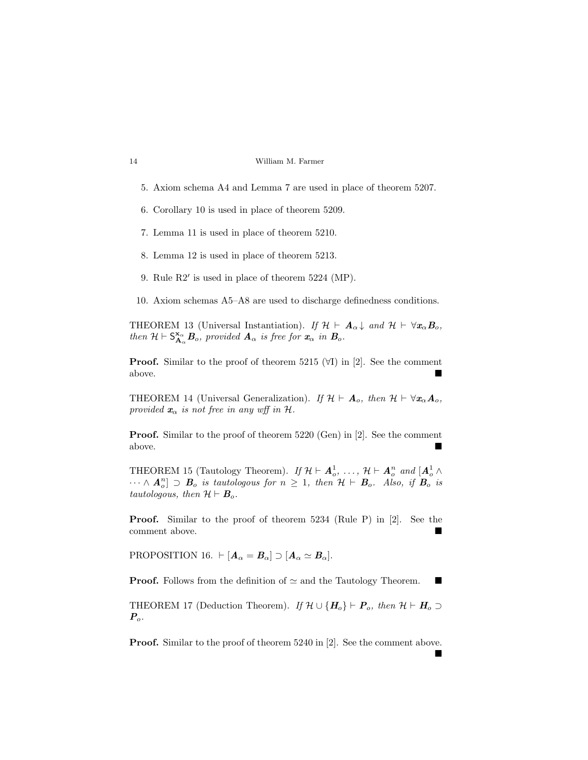- 5. Axiom schema A4 and Lemma 7 are used in place of theorem 5207.
- 6. Corollary 10 is used in place of theorem 5209.
- 7. Lemma 11 is used in place of theorem 5210.
- 8. Lemma 12 is used in place of theorem 5213.
- 9. Rule  $R2'$  is used in place of theorem  $5224$  (MP).
- 10. Axiom schemas A5–A8 are used to discharge definedness conditions.

THEOREM 13 (Universal Instantiation). If  $\mathcal{H} \vdash A_{\alpha} \downarrow$  and  $\mathcal{H} \vdash \forall x_{\alpha} B_{o}$ , then  $\mathcal{H} \vdash \mathsf{S}_{\mathbf{A}_{\alpha}}^{\mathbf{x}_{\alpha}} \mathbf{B}_{o}$ , provided  $\mathbf{A}_{\alpha}$  is free for  $\mathbf{x}_{\alpha}$  in  $\mathbf{B}_{o}$ .

**Proof.** Similar to the proof of theorem 5215  $(\forall I)$  in [2]. See the comment above.

THEOREM 14 (Universal Generalization). If  $\mathcal{H} \vdash A_o$ , then  $\mathcal{H} \vdash \forall x_\alpha A_o$ , provided  $\mathbf{x}_{\alpha}$  is not free in any wff in  $\mathcal{H}$ .

Proof. Similar to the proof of theorem 5220 (Gen) in [2]. See the comment above.

THEOREM 15 (Tautology Theorem). If  $\mathcal{H} \vdash A_o^1, \ldots, \mathcal{H} \vdash A_o^n$  and  $[A_o^1 \wedge$  $\cdots \wedge A_{o}^{n}$   $\supset B_{o}$  is tautologous for  $n \geq 1$ , then  $\mathcal{H} \vdash B_{o}$ . Also, if  $B_{o}$  is tautologous, then  $\mathcal{H} \vdash \mathbf{B}_o$ .

Proof. Similar to the proof of theorem 5234 (Rule P) in [2]. See the comment above.

PROPOSITION 16.  $\vdash [\mathbf{A}_{\alpha} = \mathbf{B}_{\alpha}] \supset [\mathbf{A}_{\alpha} \simeq \mathbf{B}_{\alpha}].$ 

**Proof.** Follows from the definition of  $\simeq$  and the Tautology Theorem.

THEOREM 17 (Deduction Theorem). If  $\mathcal{H} \cup \{H_o\} \vdash P_o$ , then  $\mathcal{H} \vdash H_o \supset$  $P_o$ .

**Proof.** Similar to the proof of theorem 5240 in [2]. See the comment above.

 $\blacksquare$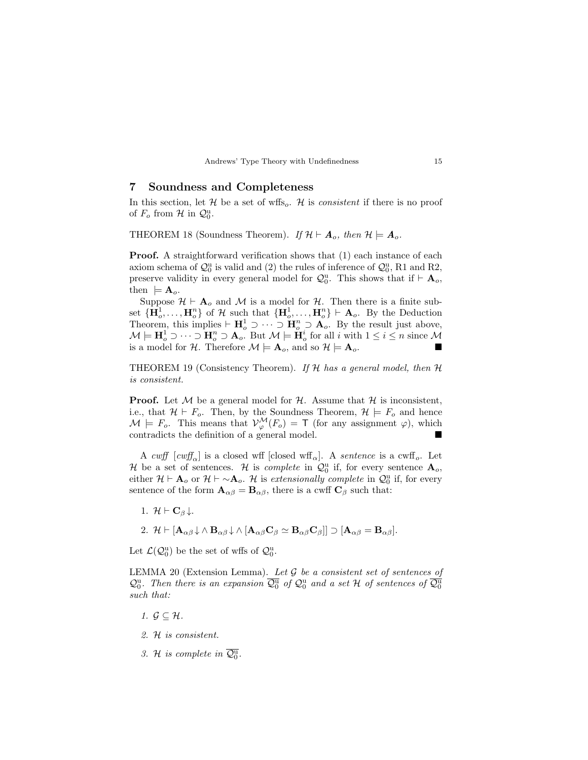### Soundness and Completeness

In this section, let  $H$  be a set of wffs<sub>o</sub>.  $H$  is *consistent* if there is no proof of  $F_o$  from  $\mathcal{H}$  in  $\mathcal{Q}_0^{\mathrm{u}}$ .

THEOREM 18 (Soundness Theorem). If  $\mathcal{H} \vdash A_o$ , then  $\mathcal{H} \models A_o$ .

**Proof.** A straightforward verification shows that  $(1)$  each instance of each axiom schema of  $\mathcal{Q}_0^{\mathrm{u}}$  is valid and (2) the rules of inference of  $\mathcal{Q}_0^{\mathrm{u}}$ , R1 and R2, preserve validity in every general model for  $\mathcal{Q}_0^{\mathrm{u}}$ . This shows that if  $\vdash \mathbf{A}_o$ , then  $\models A_o$ .

Suppose  $\mathcal{H} \vdash A_o$  and M is a model for H. Then there is a finite subset  ${\{\mathbf{H}_o^1, \ldots, \mathbf{H}_o^n\}}$  of H such that  ${\{\mathbf{H}_o^1, \ldots, \mathbf{H}_o^n\}} \vdash \mathbf{A}_o$ . By the Deduction Theorem, this implies  $\vdash \mathbf{H}^1_o \supset \cdots \supset \mathbf{H}^n_o \supset \mathbf{A}_o$ . By the result just above,  $\mathcal{M} \models \mathbf{H}^1_o \supset \cdots \supset \mathbf{H}^n_o \supset \mathbf{A}_o$ . But  $\mathcal{M} \models \mathbf{H}^i_o$  for all i with  $1 \leq i \leq n$  since  $\mathcal{M}$ is a model for H. Therefore  $\mathcal{M} \models A_o$ , and so  $\mathcal{H} \models A_o$ .

THEOREM 19 (Consistency Theorem). If  $H$  has a general model, then  $H$ is consistent.

**Proof.** Let  $M$  be a general model for  $H$ . Assume that  $H$  is inconsistent, i.e., that  $\mathcal{H} \vdash F_o$ . Then, by the Soundness Theorem,  $\mathcal{H} \models F_o$  and hence  $\mathcal{M} \models F_o$ . This means that  $\mathcal{V}^{\mathcal{M}}_{\varphi}(F_o) = \mathsf{T}$  (for any assignment  $\varphi$ ), which contradicts the definition of a general model.

A cwff  $[ \text{c wff}_{\alpha} ]$  is a closed wff  $[ \text{closed wff}_{\alpha} ]$ . A sentence is a cwff<sub>o</sub>. Let H be a set of sentences. H is *complete* in  $\mathcal{Q}_0^{\mathrm{u}}$  if, for every sentence  $\mathbf{A}_o$ , either  $\mathcal{H} \vdash A_o$  or  $\mathcal{H} \vdash \sim A_o$ . H is extensionally complete in  $\mathcal{Q}_0^{\mathrm{u}}$  if, for every sentence of the form  $\mathbf{A}_{\alpha\beta} = \mathbf{B}_{\alpha\beta}$ , there is a cwff  $\mathbf{C}_{\beta}$  such that:

- 1.  $\mathcal{H} \vdash \mathbf{C}_{\beta} \downarrow$ .
- 2.  $\mathcal{H} \vdash [\mathbf{A}_{\alpha\beta} \downarrow \wedge \mathbf{B}_{\alpha\beta} \downarrow \wedge [\mathbf{A}_{\alpha\beta} \mathbf{C}_{\beta} \simeq \mathbf{B}_{\alpha\beta} \mathbf{C}_{\beta}] \supset [\mathbf{A}_{\alpha\beta} = \mathbf{B}_{\alpha\beta}].$

Let  $\mathcal{L}(\mathcal{Q}_0^{\mathrm{u}})$  be the set of wffs of  $\mathcal{Q}_0^{\mathrm{u}}$ .

LEMMA 20 (Extension Lemma). Let  $\mathcal G$  be a consistent set of sentences of  $\mathcal{Q}_0^{\mathrm{u}}$ . Then there is an expansion  $\overline{\mathcal{Q}_0^{\mathrm{u}}}$  of  $\mathcal{Q}_0^{\mathrm{u}}$  and a set H of sentences of  $\overline{\mathcal{Q}_0^{\mathrm{u}}}$ such that:

- 1.  $\mathcal{G} \subseteq \mathcal{H}$ .
- 2. H is consistent.
- 3. H is complete in  $\overline{Q_0^u}$ .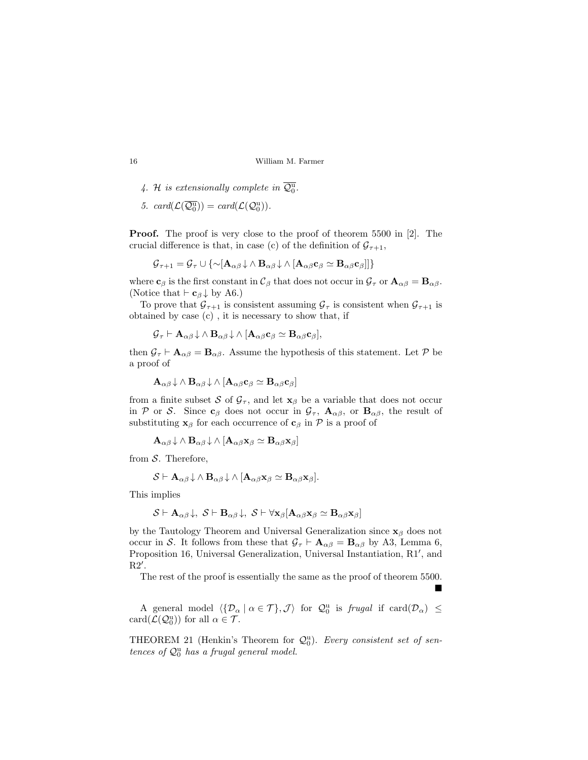- 4. H is extensionally complete in  $\overline{\mathcal{Q}_0^{\mathrm{u}}}$ .
- 5.  $card(\mathcal{L}(\overline{\mathcal{Q}_0^u})) = card(\mathcal{L}(\mathcal{Q}_0^u)).$

Proof. The proof is very close to the proof of theorem 5500 in [2]. The crucial difference is that, in case (c) of the definition of  $\mathcal{G}_{\tau+1}$ ,

$$
\mathcal{G}_{\tau+1} = \mathcal{G}_{\tau} \cup \{ \sim [\mathbf{A}_{\alpha\beta} \downarrow \wedge \mathbf{B}_{\alpha\beta} \downarrow \wedge [\mathbf{A}_{\alpha\beta} \mathbf{c}_{\beta} \simeq \mathbf{B}_{\alpha\beta} \mathbf{c}_{\beta}]] \}
$$

where  $c_\beta$  is the first constant in  $\mathcal{C}_\beta$  that does not occur in  $\mathcal{G}_\tau$  or  $\mathbf{A}_{\alpha\beta} = \mathbf{B}_{\alpha\beta}$ . (Notice that  $\vdash$  **c**<sub>β</sub>  $\downarrow$  by A6.)

To prove that  $\mathcal{G}_{\tau+1}$  is consistent assuming  $\mathcal{G}_{\tau}$  is consistent when  $\mathcal{G}_{\tau+1}$  is obtained by case (c) , it is necessary to show that, if

$$
\mathcal{G}_{\tau} \vdash \mathbf{A}_{\alpha\beta}\downarrow \wedge \mathbf{B}_{\alpha\beta}\downarrow \wedge [\mathbf{A}_{\alpha\beta}\mathbf{c}_{\beta} \simeq \mathbf{B}_{\alpha\beta}\mathbf{c}_{\beta}],
$$

then  $\mathcal{G}_{\tau} \vdash A_{\alpha\beta} = B_{\alpha\beta}$ . Assume the hypothesis of this statement. Let  $\mathcal{P}$  be a proof of

$$
\mathbf{A}_{\alpha\beta}\!\downarrow\,\wedge\,\mathbf{B}_{\alpha\beta}\!\downarrow\,\wedge\,[\mathbf{A}_{\alpha\beta}\mathbf{c}_{\beta}\simeq\mathbf{B}_{\alpha\beta}\mathbf{c}_{\beta}]
$$

from a finite subset S of  $\mathcal{G}_{\tau}$ , and let  $\mathbf{x}_{\beta}$  be a variable that does not occur in P or S. Since  $c_\beta$  does not occur in  $\mathcal{G}_{\tau}$ ,  $\mathbf{A}_{\alpha\beta}$ , or  $\mathbf{B}_{\alpha\beta}$ , the result of substituting  $\mathbf{x}_{\beta}$  for each occurrence of  $\mathbf{c}_{\beta}$  in  $\mathcal{P}$  is a proof of

$$
\mathbf{A}_{\alpha\beta}\!\downarrow\,\wedge\,\mathbf{B}_{\alpha\beta}\!\downarrow\,\wedge\,[\mathbf{A}_{\alpha\beta}\mathbf{x}_{\beta}\simeq\mathbf{B}_{\alpha\beta}\mathbf{x}_{\beta}]
$$

from  $S$ . Therefore,

$$
\mathcal{S}\vdash \mathbf{A}_{\alpha\beta}\downarrow \wedge \mathbf{B}_{\alpha\beta}\downarrow \wedge [\mathbf{A}_{\alpha\beta}\mathbf{x}_{\beta}\simeq \mathbf{B}_{\alpha\beta}\mathbf{x}_{\beta}].
$$

This implies

$$
\mathcal{S}\vdash \mathbf{A}_{\alpha\beta}\downarrow,~\mathcal{S}\vdash \mathbf{B}_{\alpha\beta}\downarrow,~\mathcal{S}\vdash \forall \mathbf{x}_{\beta}[\mathbf{A}_{\alpha\beta}\mathbf{x}_{\beta}\simeq \mathbf{B}_{\alpha\beta}\mathbf{x}_{\beta}]
$$

by the Tautology Theorem and Universal Generalization since  $x_\beta$  does not occur in S. It follows from these that  $\mathcal{G}_{\tau} \vdash A_{\alpha\beta} = B_{\alpha\beta}$  by A3, Lemma 6, Proposition 16, Universal Generalization, Universal Instantiation, R1', and  $R2'$ .

The rest of the proof is essentially the same as the proof of theorem 5500.

 $\blacksquare$ 

A general model  $\langle \{ \mathcal{D}_{\alpha} \mid \alpha \in \mathcal{T} \}, \mathcal{J} \rangle$  for  $\mathcal{Q}_0^{\mathrm{u}}$  is frugal if  $\mathrm{card}(\mathcal{D}_{\alpha}) \leq$  $card(\mathcal{L}(\mathcal{Q}_0^u))$  for all  $\alpha \in \mathcal{T}$ .

THEOREM 21 (Henkin's Theorem for  $Q_0^u$ ). Every consistent set of sentences of  $\mathcal{Q}_0^{\mathrm{u}}$  has a frugal general model.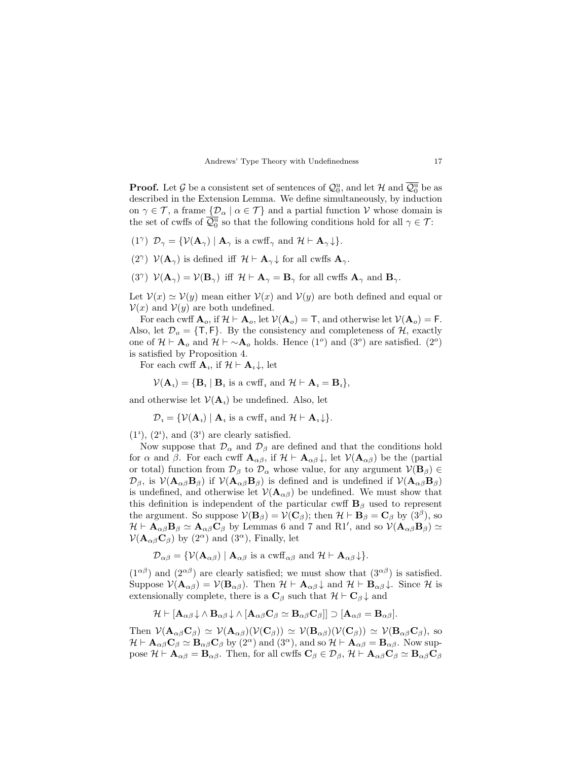**Proof.** Let  $\mathcal G$  be a consistent set of sentences of  $\mathcal Q^{\mathrm u}_0$ , and let  $\mathcal H$  and  $\overline{\mathcal Q^{\mathrm u}_0}$  be as described in the Extension Lemma. We define simultaneously, by induction on  $\gamma \in \mathcal{T}$ , a frame  $\{\mathcal{D}_{\alpha} \mid \alpha \in \mathcal{T}\}\$  and a partial function V whose domain is the set of cwffs of  $\overline{\mathcal{Q}_0^{\mathrm{u}}}$  so that the following conditions hold for all  $\gamma \in \mathcal{T}$ :

- (1<sup> $\gamma$ </sup>)  $\mathcal{D}_{\gamma} = {\mathcal{V}}(\mathbf{A}_{\gamma}) | \mathbf{A}_{\gamma}$  is a cwff<sub> $\gamma$ </sub> and  $\mathcal{H} \vdash \mathbf{A}_{\gamma} \downarrow$ .
- (2<sup> $\gamma$ </sup>)  $\mathcal{V}(\mathbf{A}_{\gamma})$  is defined iff  $\mathcal{H} \vdash \mathbf{A}_{\gamma} \downarrow$  for all cwffs  $\mathbf{A}_{\gamma}$ .
- (3<sup> $\gamma$ </sup>)  $\mathcal{V}(\mathbf{A}_{\gamma}) = \mathcal{V}(\mathbf{B}_{\gamma})$  iff  $\mathcal{H} \vdash \mathbf{A}_{\gamma} = \mathbf{B}_{\gamma}$  for all cwffs  $\mathbf{A}_{\gamma}$  and  $\mathbf{B}_{\gamma}$ .

Let  $V(x) \simeq V(y)$  mean either  $V(x)$  and  $V(y)$  are both defined and equal or  $V(x)$  and  $V(y)$  are both undefined.

For each cwff  $\mathbf{A}_o$ , if  $\mathcal{H} \vdash \mathbf{A}_o$ , let  $\mathcal{V}(\mathbf{A}_o) = \mathsf{T}$ , and otherwise let  $\mathcal{V}(\mathbf{A}_o) = \mathsf{F}$ . Also, let  $\mathcal{D}_o = \{\mathsf{T},\mathsf{F}\}\$ . By the consistency and completeness of  $\mathcal{H}$ , exactly one of  $\mathcal{H} \vdash A_o$  and  $\mathcal{H} \vdash \sim A_o$  holds. Hence  $(1^o)$  and  $(3^o)$  are satisfied.  $(2^o)$ is satisfied by Proposition 4.

For each cwff  $\mathbf{A}_i$ , if  $\mathcal{H} \vdash \mathbf{A}_i \downarrow$ , let

$$
\mathcal{V}(\mathbf{A}_i) = \{ \mathbf{B}_i \mid \mathbf{B}_i \text{ is a c wff } i \text{ and } \mathcal{H} \vdash \mathbf{A}_i = \mathbf{B}_i \},
$$

and otherwise let  $\mathcal{V}(\mathbf{A}_i)$  be undefined. Also, let

$$
\mathcal{D}_i = \{ \mathcal{V}(\mathbf{A}_i) \mid \mathbf{A}_i \text{ is a c wff } i \text{ and } \mathcal{H} \vdash \mathbf{A}_i \downarrow \}.
$$

 $(1^i)$ ,  $(2^i)$ , and  $(3^i)$  are clearly satisfied.

Now suppose that  $\mathcal{D}_{\alpha}$  and  $\mathcal{D}_{\beta}$  are defined and that the conditions hold for  $\alpha$  and  $\beta$ . For each cwff  $\mathbf{A}_{\alpha\beta}$ , if  $\mathcal{H} \vdash \mathbf{A}_{\alpha\beta} \downarrow$ , let  $\mathcal{V}(\mathbf{A}_{\alpha\beta})$  be the (partial or total) function from  $\mathcal{D}_{\beta}$  to  $\mathcal{D}_{\alpha}$  whose value, for any argument  $\mathcal{V}(\mathbf{B}_{\beta}) \in$  $\mathcal{D}_{\beta}$ , is  $\mathcal{V}(\mathbf{A}_{\alpha\beta}\mathbf{B}_{\beta})$  if  $\mathcal{V}(\mathbf{A}_{\alpha\beta}\mathbf{B}_{\beta})$  is defined and is undefined if  $\mathcal{V}(\mathbf{A}_{\alpha\beta}\mathbf{B}_{\beta})$ is undefined, and otherwise let  $\mathcal{V}(\mathbf{A}_{\alpha\beta})$  be undefined. We must show that this definition is independent of the particular cwff  $\mathbf{B}_{\beta}$  used to represent the argument. So suppose  $\mathcal{V}(\mathbf{B}_{\beta}) = \mathcal{V}(\mathbf{C}_{\beta})$ ; then  $\mathcal{H} \vdash \mathbf{B}_{\beta} = \mathbf{C}_{\beta}$  by  $(3^{\beta})$ , so  $\mathcal{H} \vdash \mathbf{A}_{\alpha\beta} \mathbf{B}_{\beta} \simeq \mathbf{A}_{\alpha\beta} \mathbf{C}_{\beta}$  by Lemmas 6 and 7 and R1', and so  $\mathcal{V}(\mathbf{A}_{\alpha\beta} \mathbf{B}_{\beta}) \simeq$  $\mathcal{V}(\mathbf{A}_{\alpha\beta}\mathbf{C}_{\beta})$  by  $(2^{\alpha})$  and  $(3^{\alpha})$ , Finally, let

$$
\mathcal{D}_{\alpha\beta} = \{ \mathcal{V}(\mathbf{A}_{\alpha\beta}) \mid \mathbf{A}_{\alpha\beta} \text{ is a c wff}_{\alpha\beta} \text{ and } \mathcal{H} \vdash \mathbf{A}_{\alpha\beta} \downarrow \}.
$$

 $(1^{\alpha\beta})$  and  $(2^{\alpha\beta})$  are clearly satisfied; we must show that  $(3^{\alpha\beta})$  is satisfied. Suppose  $\mathcal{V}(\mathbf{A}_{\alpha\beta}) = \mathcal{V}(\mathbf{B}_{\alpha\beta})$ . Then  $\mathcal{H} \vdash \mathbf{A}_{\alpha\beta} \downarrow$  and  $\mathcal{H} \vdash \mathbf{B}_{\alpha\beta} \downarrow$ . Since  $\mathcal{H}$  is extensionally complete, there is a  $\mathbf{C}_{\beta}$  such that  $\mathcal{H} \vdash \mathbf{C}_{\beta} \downarrow$  and

$$
\mathcal{H}\vdash [{\bf A}_{\alpha\beta}\!\downarrow\wedge{\bf B}_{\alpha\beta}\!\downarrow\wedge[{\bf A}_{\alpha\beta}{\bf C}_\beta\simeq{\bf B}_{\alpha\beta}{\bf C}_\beta]]\supset [{\bf A}_{\alpha\beta}={\bf B}_{\alpha\beta}].
$$

Then  $\mathcal{V}(\mathbf{A}_{\alpha\beta}\mathbf{C}_{\beta}) \simeq \mathcal{V}(\mathbf{A}_{\alpha\beta})(\mathcal{V}(\mathbf{C}_{\beta})) \simeq \mathcal{V}(\mathbf{B}_{\alpha\beta})(\mathcal{V}(\mathbf{C}_{\beta})) \simeq \mathcal{V}(\mathbf{B}_{\alpha\beta}\mathbf{C}_{\beta}),$  so  $\mathcal{H} \vdash \mathbf{A}_{\alpha\beta}\mathbf{C}_{\beta} \simeq \mathbf{B}_{\alpha\beta}\mathbf{C}_{\beta}$  by  $(2^{\alpha})$  and  $(3^{\alpha})$ , and so  $\mathcal{H} \vdash \mathbf{A}_{\alpha\beta} = \mathbf{B}_{\alpha\beta}$ . Now suppose  $\mathcal{H} \vdash \mathbf{A}_{\alpha\beta} = \mathbf{B}_{\alpha\beta}$ . Then, for all cwffs  $\mathbf{C}_{\beta} \in \mathcal{D}_{\beta}$ ,  $\mathcal{H} \vdash \mathbf{A}_{\alpha\beta} \mathbf{C}_{\beta} \simeq \mathbf{B}_{\alpha\beta} \mathbf{C}_{\beta}$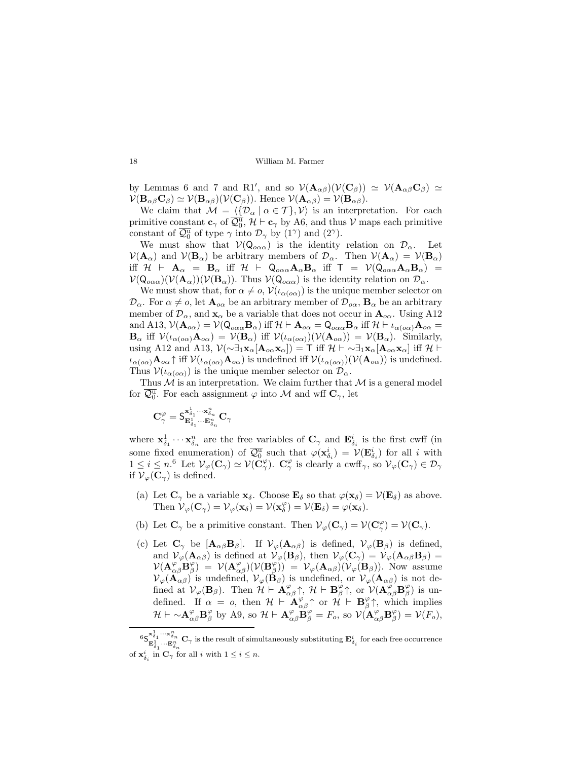by Lemmas 6 and 7 and R1', and so  $V(\mathbf{A}_{\alpha\beta})(V(\mathbf{C}_{\beta})) \simeq V(\mathbf{A}_{\alpha\beta}\mathbf{C}_{\beta}) \simeq$  $\mathcal{V}(\mathbf{B}_{\alpha\beta}\mathbf{C}_{\beta}) \simeq \mathcal{V}(\mathbf{B}_{\alpha\beta})(\mathcal{V}(\mathbf{C}_{\beta}))$ . Hence  $\mathcal{V}(\mathbf{A}_{\alpha\beta}) = \mathcal{V}(\mathbf{B}_{\alpha\beta})$ .

We claim that  $\mathcal{M} = \langle {\{\mathcal{D}_{\alpha} \mid \alpha \in \mathcal{T}\}} \rangle$  is an interpretation. For each primitive constant  $\mathbf{c}_{\gamma}$  of  $\overline{\mathcal{Q}_{0}^{\mathrm{u}}}$ ,  $\mathcal{H} \vdash \mathbf{c}_{\gamma}$  by A6, and thus  $\mathcal{V}$  maps each primitive constant of  $\overline{\mathcal{Q}_0^{\mathrm{u}}}$  of type  $\gamma$  into  $\mathcal{D}_{\gamma}$  by  $(1^{\gamma})$  and  $(2^{\gamma})$ .

We must show that  $V(Q_{\alpha\alpha\alpha})$  is the identity relation on  $\mathcal{D}_{\alpha}$ . Let  $V(\mathbf{A}_{\alpha})$  and  $V(\mathbf{B}_{\alpha})$  be arbitrary members of  $\mathcal{D}_{\alpha}$ . Then  $V(\mathbf{A}_{\alpha}) = V(\mathbf{B}_{\alpha})$ iff  $\mathcal{H}$   $\vdash$   $\mathbf{A}_{\alpha}$  =  $\mathbf{B}_{\alpha}$  iff  $\mathcal{H}$   $\vdash$   $\mathsf{Q}_{o\alpha\alpha}\mathbf{A}_{\alpha}\mathbf{B}_{\alpha}$  iff  $\mathsf{T}$  =  $\mathcal{V}(\mathsf{Q}_{o\alpha\alpha}\mathbf{A}_{\alpha}\mathbf{B}_{\alpha})$  =  $\mathcal{V}(\mathsf{Q}_{\alpha\alpha\alpha})(\mathcal{V}(\mathbf{A}_{\alpha}))(\mathcal{V}(\mathbf{B}_{\alpha}))$ . Thus  $\mathcal{V}(\mathsf{Q}_{\alpha\alpha\alpha})$  is the identity relation on  $\mathcal{D}_{\alpha}$ .

We must show that, for  $\alpha \neq o$ ,  $\mathcal{V}(\iota_{\alpha(\alpha)})$  is the unique member selector on  $\mathcal{D}_{\alpha}$ . For  $\alpha \neq o$ , let  $\mathbf{A}_{o\alpha}$  be an arbitrary member of  $\mathcal{D}_{o\alpha}$ ,  $\mathbf{B}_{\alpha}$  be an arbitrary member of  $\mathcal{D}_{\alpha}$ , and  $\mathbf{x}_{\alpha}$  be a variable that does not occur in  $\mathbf{A}_{o\alpha}$ . Using A12 and A13,  $V(\mathbf{A}_{o\alpha}) = V(Q_{o\alpha\alpha}\mathbf{B}_{\alpha})$  iff  $\mathcal{H} \vdash \mathbf{A}_{o\alpha} = Q_{o\alpha\alpha}\mathbf{B}_{\alpha}$  iff  $\mathcal{H} \vdash \iota_{\alpha(o\alpha)}\mathbf{A}_{o\alpha} =$  $\mathbf{B}_{\alpha}$  iff  $\mathcal{V}(\iota_{\alpha(\alpha\alpha)}\mathbf{A}_{\alpha\alpha}) = \mathcal{V}(\mathbf{B}_{\alpha})$  iff  $\mathcal{V}(\iota_{\alpha(\alpha\alpha)})(\mathcal{V}(\mathbf{A}_{\alpha\alpha})) = \mathcal{V}(\mathbf{B}_{\alpha})$ . Similarly, using A12 and A13,  $\mathcal{V}(\sim \exists_1 \mathbf{x}_{\alpha}[\mathbf{A}_{o\alpha} \mathbf{x}_{\alpha}]) = \mathsf{T}$  iff  $\mathcal{H} \vdash \sim \exists_1 \mathbf{x}_{\alpha}[\mathbf{A}_{o\alpha} \mathbf{x}_{\alpha}]$  iff  $\mathcal{H} \vdash$  $\iota_{\alpha(\rho\alpha)}\mathbf{A}_{\rho\alpha}$  if  $\mathcal{V}(\iota_{\alpha(\rho\alpha)}\mathbf{A}_{\rho\alpha})$  is undefined iff  $\mathcal{V}(\iota_{\alpha(\rho\alpha)})(\mathcal{V}(\mathbf{A}_{\rho\alpha}))$  is undefined. Thus  $V(\iota_{\alpha(\rho\alpha)})$  is the unique member selector on  $\mathcal{D}_{\alpha}$ .

Thus  $M$  is an interpretation. We claim further that  $M$  is a general model for  $\overline{\mathcal{Q}_0^{\mathrm{u}}}$ . For each assignment  $\varphi$  into  $\mathcal M$  and wff  $\mathbf{C}_{\gamma}$ , let

$$
\mathbf{C}^{\varphi}_{\gamma}=\mathbf{S}_{\mathbf{E}^1_{\delta_1}\cdots\mathbf{E}^n_{\delta_n}}^{\mathbf{x}^1_{\delta_1}\cdots\mathbf{x}^n_{\delta_n}}\mathbf{C}_{\gamma}
$$

where  $\mathbf{x}_{\delta_1}^1 \cdots \mathbf{x}_{\delta_n}^n$  are the free variables of  $\mathbf{C}_{\gamma}$  and  $\mathbf{E}_{\delta_i}^i$  is the first cwff (in some fixed enumeration) of  $\overline{\mathcal{Q}_0^{\mathbf{u}}}$  such that  $\varphi(\mathbf{x}_{\delta_i}^i) = \mathcal{V}(\mathbf{E}_{\delta_i}^i)$  for all i with  $1 \leq i \leq n$ <sup>6</sup> Let  $\mathcal{V}_{\varphi}(\mathbf{C}_{\gamma}) \simeq \mathcal{V}(\tilde{\mathbf{C}}_{\gamma}^{\varphi})$ .  $\mathbf{C}_{\gamma}^{\varphi}$  is clearly a cwff<sub>7</sub>, so  $\mathcal{V}_{\varphi}(\mathbf{C}_{\gamma}) \in \mathcal{D}_{\gamma}$ if  $\mathcal{V}_{\varphi}(\mathbf{C}_{\gamma})$  is defined.

- (a) Let  $\mathbf{C}_{\gamma}$  be a variable  $\mathbf{x}_{\delta}$ . Choose  $\mathbf{E}_{\delta}$  so that  $\varphi(\mathbf{x}_{\delta}) = \mathcal{V}(\mathbf{E}_{\delta})$  as above. Then  $\mathcal{V}_{\varphi}(\mathbf{C}_{\gamma}) = \mathcal{V}_{\varphi}(\mathbf{x}_{\delta}) = \mathcal{V}(\mathbf{x}_{\delta}^{\varphi}) = \mathcal{V}(\mathbf{E}_{\delta}) = \varphi(\mathbf{x}_{\delta}).$
- (b) Let  $\mathbf{C}_{\gamma}$  be a primitive constant. Then  $\mathcal{V}_{\varphi}(\mathbf{C}_{\gamma}) = \mathcal{V}(\mathbf{C}_{\gamma}^{\varphi}) = \mathcal{V}(\mathbf{C}_{\gamma}).$
- (c) Let  $\mathbf{C}_{\gamma}$  be  $[\mathbf{A}_{\alpha\beta}\mathbf{B}_{\beta}]$ . If  $\mathcal{V}_{\varphi}(\mathbf{A}_{\alpha\beta})$  is defined,  $\mathcal{V}_{\varphi}(\mathbf{B}_{\beta})$  is defined, and  $V_{\varphi}(\mathbf{A}_{\alpha\beta})$  is defined at  $V_{\varphi}(\mathbf{B}_{\beta})$ , then  $V_{\varphi}(\mathbf{C}_{\gamma}) = V_{\varphi}(\mathbf{A}_{\alpha\beta}\mathbf{B}_{\beta}) =$  $\mathcal{V}(\mathbf{A}_{\alpha\beta}^{\varphi} \mathbf{B}_{\beta}^{\varphi}) = \mathcal{V}(\mathbf{A}_{\alpha\beta}^{\varphi}) (\mathcal{V}(\mathbf{B}_{\beta}^{\varphi})) = \mathcal{V}_{\varphi}(\mathbf{A}_{\alpha\beta}) (\mathcal{V}_{\varphi}(\mathbf{B}_{\beta}))$ . Now assume  $\mathcal{V}_{\varphi}(\mathbf{A}_{\alpha\beta})$  is undefined,  $\mathcal{V}_{\varphi}(\mathbf{B}_{\beta})$  is undefined, or  $\mathcal{V}_{\varphi}(\mathbf{A}_{\alpha\beta})$  is not defined at  $\mathcal{V}_{\varphi}(\mathbf{B}_{\beta})$ . Then  $\mathcal{H} \vdash \mathbf{A}^{\varphi}_{\alpha\beta} \uparrow$ ,  $\mathcal{H} \vdash \mathbf{B}^{\varphi}_{\beta} \uparrow$ , or  $\mathcal{V}(\mathbf{A}^{\varphi}_{\alpha\beta} \mathbf{B}^{\varphi}_{\beta})$  is undefined. If  $\alpha = 0$ , then  $\mathcal{H} \vdash \mathbf{A}^{\varphi}_{\alpha\beta} \uparrow$  or  $\mathcal{H} \vdash \mathbf{B}^{\varphi}_{\beta} \uparrow$ , which implies  $\mathcal{H} \vdash \sim \! \mathbf{A}_{\alpha\beta}^{\varphi} \mathbf{B}_{\beta}^{\varphi}$  by A9, so  $\mathcal{H} \vdash \mathbf{A}_{\alpha\beta}^{\varphi} \mathbf{B}_{\beta}^{\varphi} = F_o$ , so  $\mathcal{V}(\mathbf{A}_{\alpha\beta}^{\varphi} \mathbf{B}_{\beta}^{\varphi}) = \mathcal{V}(F_o)$ ,

 $^6 \textsf{S}_{\textbf{E}_{\delta_1}^1}^{\textbf{x}_0^1} \cdots \textbf{E}_{\delta_n}^n \textbf{C}_\gamma \text{ is the result of simultaneously substituting } \textbf{E}_{\delta_i}^i \text{ for each free occurrence}$ of  $\mathbf{x}_{\delta_i}^i$  in  $\mathbf{C}_{\gamma}$  for all *i* with  $1 \leq i \leq n$ .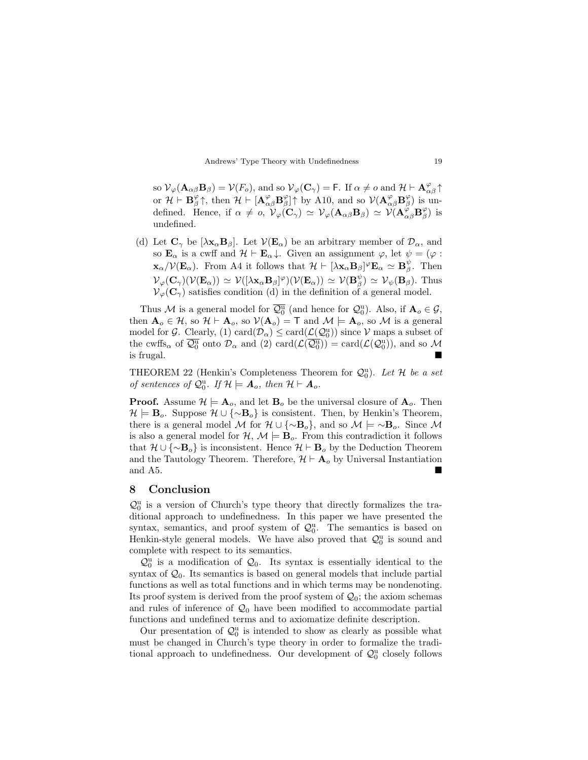so  $\mathcal{V}_{\varphi}(\mathbf{A}_{\alpha\beta}\mathbf{B}_{\beta}) = \mathcal{V}(F_o)$ , and so  $\mathcal{V}_{\varphi}(\mathbf{C}_{\gamma}) = \mathsf{F}$ . If  $\alpha \neq o$  and  $\mathcal{H} \vdash \mathbf{A}_{\alpha\beta}^{\varphi} \uparrow$ or  $\mathcal{H} \vdash \mathbf{B}_{\beta}^{\varphi} \uparrow$ , then  $\mathcal{H} \vdash [\mathbf{A}_{\alpha\beta}^{\varphi} \mathbf{B}_{\beta}^{\varphi}] \uparrow$  by A10, and so  $\mathcal{V}(\mathbf{A}_{\alpha\beta}^{\varphi} \mathbf{B}_{\beta}^{\varphi})$  is undefined. Hence, if  $\alpha \neq 0$ ,  $\mathcal{V}_{\varphi}(\mathbf{C}_{\gamma}) \simeq \mathcal{V}_{\varphi}(\mathbf{A}_{\alpha\beta}\mathbf{B}_{\beta}) \simeq \mathcal{V}(\mathbf{A}_{\alpha\beta}^{\varphi}\mathbf{B}_{\beta}^{\varphi})$  is undefined.

(d) Let  $\mathbf{C}_{\gamma}$  be  $[\lambda \mathbf{x}_{\alpha} \mathbf{B}_{\beta}]$ . Let  $\mathcal{V}(\mathbf{E}_{\alpha})$  be an arbitrary member of  $\mathcal{D}_{\alpha}$ , and so  $\mathbf{E}_{\alpha}$  is a cwff and  $\mathcal{H} \vdash \mathbf{E}_{\alpha} \downarrow$ . Given an assignment  $\varphi$ , let  $\psi = (\varphi :$  $\mathbf{x}_{\alpha}/\mathcal{V}(\mathbf{E}_{\alpha})$ . From A4 it follows that  $\mathcal{H} \vdash [\lambda \mathbf{x}_{\alpha} \mathbf{B}_{\beta}]^{\varphi} \mathbf{E}_{\alpha} \simeq \mathbf{B}_{\beta}^{\psi}$ . Then  $\mathcal{V}_{\varphi}(\mathbf{C}_{\gamma})(\mathcal{V}(\mathbf{E}_{\alpha})) \simeq \mathcal{V}([\lambda \mathbf{x}_{\alpha} \mathbf{B}_{\beta}]^{\varphi})(\mathcal{V}(\mathbf{E}_{\alpha})) \simeq \mathcal{V}(\mathbf{B}_{\beta}^{\psi}) \simeq \mathcal{V}_{\psi}(\mathbf{B}_{\beta}).$  Thus  $\mathcal{V}_{\varphi}(\mathbf{C}_{\gamma})$  satisfies condition (d) in the definition of a general model.

Thus M is a general model for  $\overline{\mathcal{Q}_0^u}$  (and hence for  $\mathcal{Q}_0^u$ ). Also, if  $\mathbf{A}_o \in \mathcal{G}$ , then  $\mathbf{A}_o \in \mathcal{H}$ , so  $\mathcal{H} \vdash \mathbf{A}_o$ , so  $\mathcal{V}(\mathbf{A}_o) = \mathsf{T}$  and  $\mathcal{M} \models \mathbf{A}_o$ , so  $\mathcal{M}$  is a general model for  $\mathcal{G}$ . Clearly, (1) card $(\mathcal{D}_{\alpha}) \leq \text{card}(\mathcal{L}(\mathcal{Q}_0^{\text{u}}))$  since  $\mathcal{V}$  maps a subset of the cwffs<sub> $\alpha$ </sub> of  $\overline{\mathcal{Q}_0^{\mathrm{u}}}$  onto  $\mathcal{D}_{\alpha}$  and (2) card $(\mathcal{L}(\overline{\mathcal{Q}_0^{\mathrm{u}}})) = \text{card}(\mathcal{L}(\mathcal{Q}_0^{\mathrm{u}}))$ , and so M is frugal.

THEOREM 22 (Henkin's Completeness Theorem for  $\mathcal{Q}_0^{\mathrm{u}}$ ). Let  $\mathcal H$  be a set of sentences of  $\mathcal{Q}_0^{\mathrm{u}}$ . If  $\mathcal{H} \models A_o$ , then  $\mathcal{H} \vdash A_o$ .

**Proof.** Assume  $\mathcal{H} \models A_o$ , and let  $B_o$  be the universal closure of  $A_o$ . Then  $\mathcal{H} \models \mathbf{B}_o$ . Suppose  $\mathcal{H} \cup {\sim} \mathbf{B}_o$  is consistent. Then, by Henkin's Theorem, there is a general model M for  $\mathcal{H} \cup {\sim} \mathbf{B}_{o}$ , and so  $\mathcal{M} \models \sim \mathbf{B}_{o}$ . Since M is also a general model for  $\mathcal{H}, \mathcal{M} \models \mathbf{B}_{o}$ . From this contradiction it follows that  $\mathcal{H} \cup {\sim} \mathbf{B}_{o}$  is inconsistent. Hence  $\mathcal{H} \vdash \mathbf{B}_{o}$  by the Deduction Theorem and the Tautology Theorem. Therefore,  $\mathcal{H} \vdash A_o$  by Universal Instantiation and A5.

## 8 Conclusion

 $\mathcal{Q}_0^{\mathrm{u}}$  is a version of Church's type theory that directly formalizes the traditional approach to undefinedness. In this paper we have presented the syntax, semantics, and proof system of  $\mathcal{Q}_0^{\mathrm{u}}$ . The semantics is based on Henkin-style general models. We have also proved that  $\mathcal{Q}_0^{\mathrm{u}}$  is sound and complete with respect to its semantics.

 $\mathcal{Q}_0^u$  is a modification of  $\mathcal{Q}_0$ . Its syntax is essentially identical to the syntax of  $\mathcal{Q}_0$ . Its semantics is based on general models that include partial functions as well as total functions and in which terms may be nondenoting. Its proof system is derived from the proof system of  $\mathcal{Q}_0$ ; the axiom schemas and rules of inference of  $\mathcal{Q}_0$  have been modified to accommodate partial functions and undefined terms and to axiomatize definite description.

Our presentation of  $\mathcal{Q}_0^{\mathrm{u}}$  is intended to show as clearly as possible what must be changed in Church's type theory in order to formalize the traditional approach to undefinedness. Our development of  $\mathcal{Q}_0^{\mathrm{u}}$  closely follows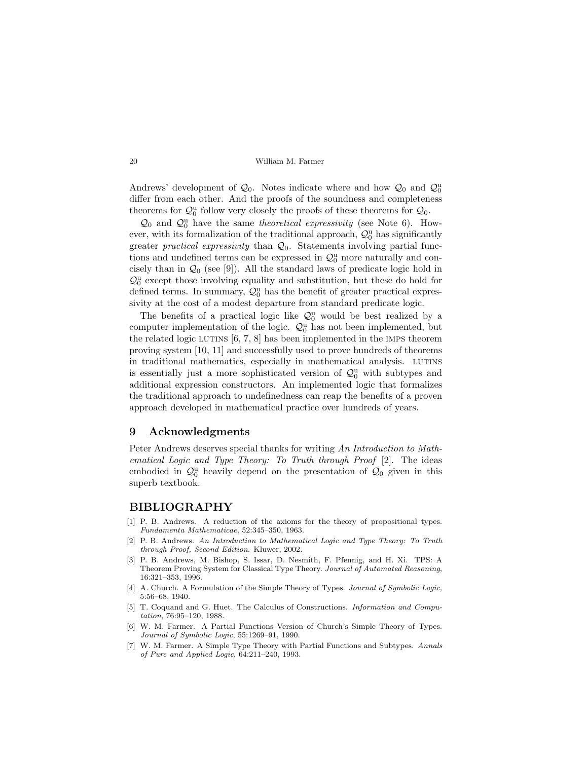Andrews' development of  $\mathcal{Q}_0$ . Notes indicate where and how  $\mathcal{Q}_0$  and  $\mathcal{Q}_0^{\mathrm{u}}$ differ from each other. And the proofs of the soundness and completeness theorems for  $\mathcal{Q}_0^{\mathrm{u}}$  follow very closely the proofs of these theorems for  $\mathcal{Q}_0$ .

 $\mathcal{Q}_0$  and  $\mathcal{Q}_0^{\text{u}}$  have the same theoretical expressivity (see Note 6). However, with its formalization of the traditional approach,  $\mathcal{Q}_0^{\mathrm{u}}$  has significantly greater *practical expressivity* than  $\mathcal{Q}_0$ . Statements involving partial functions and undefined terms can be expressed in  $\mathcal{Q}_0^{\mathrm{u}}$  more naturally and concisely than in  $\mathcal{Q}_0$  (see [9]). All the standard laws of predicate logic hold in  $\mathcal{Q}^{\mathrm{u}}_0$  except those involving equality and substitution, but these do hold for defined terms. In summary,  $\mathcal{Q}_0^{\mathrm{u}}$  has the benefit of greater practical expressivity at the cost of a modest departure from standard predicate logic.

The benefits of a practical logic like  $\mathcal{Q}_0^u$  would be best realized by a computer implementation of the logic.  $\mathcal{Q}_0^{\mathrm{u}}$  has not been implemented, but the related logic LUTINS  $[6, 7, 8]$  has been implemented in the IMPs theorem proving system [10, 11] and successfully used to prove hundreds of theorems in traditional mathematics, especially in mathematical analysis. LUTINS is essentially just a more sophisticated version of  $\mathcal{Q}_0^{\mathrm{u}}$  with subtypes and additional expression constructors. An implemented logic that formalizes the traditional approach to undefinedness can reap the benefits of a proven approach developed in mathematical practice over hundreds of years.

### 9 Acknowledgments

Peter Andrews deserves special thanks for writing An Introduction to Mathematical Logic and Type Theory: To Truth through Proof [2]. The ideas embodied in  $\mathcal{Q}_0^{\mathsf{u}}$  heavily depend on the presentation of  $\mathcal{Q}_0$  given in this superb textbook.

#### BIBLIOGRAPHY

- [1] P. B. Andrews. A reduction of the axioms for the theory of propositional types. Fundamenta Mathematicae, 52:345–350, 1963.
- [2] P. B. Andrews. An Introduction to Mathematical Logic and Type Theory: To Truth through Proof, Second Edition. Kluwer, 2002.
- [3] P. B. Andrews, M. Bishop, S. Issar, D. Nesmith, F. Pfennig, and H. Xi. TPS: A Theorem Proving System for Classical Type Theory. Journal of Automated Reasoning, 16:321–353, 1996.
- [4] A. Church. A Formulation of the Simple Theory of Types. Journal of Symbolic Logic, 5:56–68, 1940.
- [5] T. Coquand and G. Huet. The Calculus of Constructions. *Information and Compu*tation, 76:95–120, 1988.
- [6] W. M. Farmer. A Partial Functions Version of Church's Simple Theory of Types. Journal of Symbolic Logic, 55:1269–91, 1990.
- [7] W. M. Farmer. A Simple Type Theory with Partial Functions and Subtypes. Annals of Pure and Applied Logic, 64:211–240, 1993.